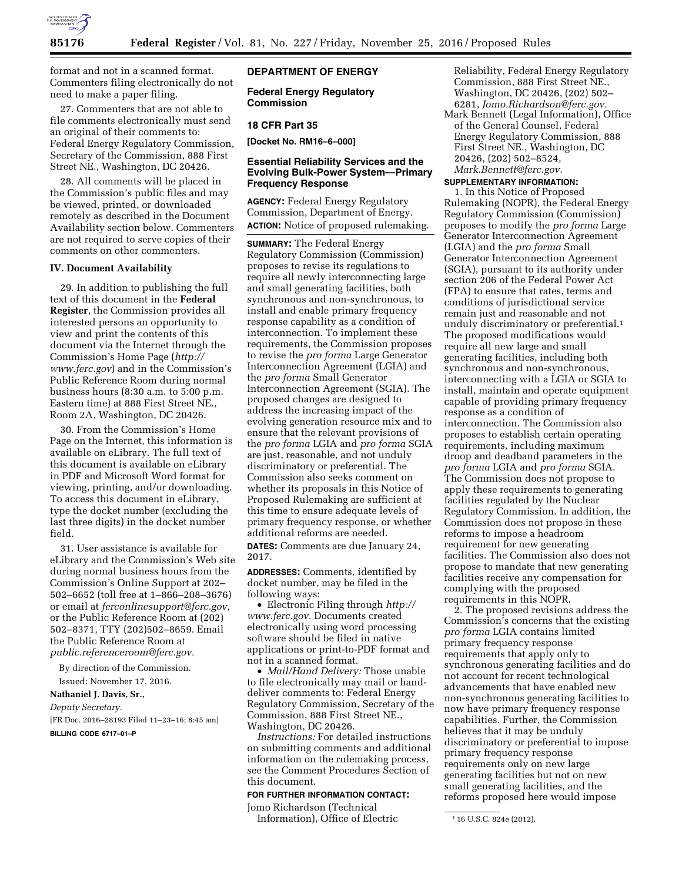

format and not in a scanned format. Commenters filing electronically do not need to make a paper filing.

27. Commenters that are not able to file comments electronically must send an original of their comments to: Federal Energy Regulatory Commission, Secretary of the Commission, 888 First Street NE., Washington, DC 20426.

28. All comments will be placed in the Commission's public files and may be viewed, printed, or downloaded remotely as described in the Document Availability section below. Commenters are not required to serve copies of their comments on other commenters.

### **IV. Document Availability**

29. In addition to publishing the full text of this document in the **Federal Register**, the Commission provides all interested persons an opportunity to view and print the contents of this document via the Internet through the Commission's Home Page (*[http://](http://www.ferc.gov) [www.ferc.gov](http://www.ferc.gov)*) and in the Commission's Public Reference Room during normal business hours (8:30 a.m. to 5:00 p.m. Eastern time) at 888 First Street NE., Room 2A, Washington, DC 20426.

30. From the Commission's Home Page on the Internet, this information is available on eLibrary. The full text of this document is available on eLibrary in PDF and Microsoft Word format for viewing, printing, and/or downloading. To access this document in eLibrary, type the docket number (excluding the last three digits) in the docket number field.

31. User assistance is available for eLibrary and the Commission's Web site during normal business hours from the Commission's Online Support at 202– 502–6652 (toll free at 1–866–208–3676) or email at *[ferconlinesupport@ferc.gov,](mailto:ferconlinesupport@ferc.gov)*  or the Public Reference Room at (202) 502–8371, TTY (202)502–8659. Email the Public Reference Room at *[public.referenceroom@ferc.gov.](mailto:public.referenceroom@ferc.gov)* 

By direction of the Commission. Issued: November 17, 2016.

**Nathaniel J. Davis, Sr.,** 

### *Deputy Secretary.*

[FR Doc. 2016–28193 Filed 11–23–16; 8:45 am]

**BILLING CODE 6717–01–P** 

### **DEPARTMENT OF ENERGY**

**Federal Energy Regulatory Commission** 

### **18 CFR Part 35**

**[Docket No. RM16–6–000]** 

# **Essential Reliability Services and the Evolving Bulk-Power System—Primary Frequency Response**

**AGENCY:** Federal Energy Regulatory Commission, Department of Energy. **ACTION:** Notice of proposed rulemaking.

**SUMMARY:** The Federal Energy Regulatory Commission (Commission) proposes to revise its regulations to require all newly interconnecting large and small generating facilities, both synchronous and non-synchronous, to install and enable primary frequency response capability as a condition of interconnection. To implement these requirements, the Commission proposes to revise the *pro forma* Large Generator Interconnection Agreement (LGIA) and the *pro forma* Small Generator Interconnection Agreement (SGIA). The proposed changes are designed to address the increasing impact of the evolving generation resource mix and to ensure that the relevant provisions of the *pro forma* LGIA and *pro forma* SGIA are just, reasonable, and not unduly discriminatory or preferential. The Commission also seeks comment on whether its proposals in this Notice of Proposed Rulemaking are sufficient at this time to ensure adequate levels of primary frequency response, or whether additional reforms are needed. **DATES:** Comments are due January 24, 2017.

**ADDRESSES:** Comments, identified by docket number, may be filed in the following ways:

• Electronic Filing through *[http://](http://www.ferc.gov) [www.ferc.gov.](http://www.ferc.gov)* Documents created electronically using word processing software should be filed in native applications or print-to-PDF format and not in a scanned format.

• *Mail/Hand Delivery:* Those unable to file electronically may mail or handdeliver comments to: Federal Energy Regulatory Commission, Secretary of the Commission, 888 First Street NE., Washington, DC 20426.

*Instructions:* For detailed instructions on submitting comments and additional information on the rulemaking process, see the Comment Procedures Section of this document.

#### **FOR FURTHER INFORMATION CONTACT:**

Jomo Richardson (Technical Information), Office of Electric Reliability, Federal Energy Regulatory Commission, 888 First Street NE., Washington, DC 20426, (202) 502– 6281, *[Jomo.Richardson@ferc.gov.](mailto:Jomo.Richardson@ferc.gov)* 

Mark Bennett (Legal Information), Office of the General Counsel, Federal Energy Regulatory Commission, 888 First Street NE., Washington, DC 20426, (202) 502–8524, *[Mark.Bennett@ferc.gov.](mailto:Mark.Bennett@ferc.gov)* 

# **SUPPLEMENTARY INFORMATION:**

1. In this Notice of Proposed Rulemaking (NOPR), the Federal Energy Regulatory Commission (Commission) proposes to modify the *pro forma* Large Generator Interconnection Agreement (LGIA) and the *pro forma* Small Generator Interconnection Agreement (SGIA), pursuant to its authority under section 206 of the Federal Power Act (FPA) to ensure that rates, terms and conditions of jurisdictional service remain just and reasonable and not unduly discriminatory or preferential.1 The proposed modifications would require all new large and small generating facilities, including both synchronous and non-synchronous, interconnecting with a LGIA or SGIA to install, maintain and operate equipment capable of providing primary frequency response as a condition of interconnection. The Commission also proposes to establish certain operating requirements, including maximum droop and deadband parameters in the *pro forma* LGIA and *pro forma* SGIA. The Commission does not propose to apply these requirements to generating facilities regulated by the Nuclear Regulatory Commission. In addition, the Commission does not propose in these reforms to impose a headroom requirement for new generating facilities. The Commission also does not propose to mandate that new generating facilities receive any compensation for complying with the proposed requirements in this NOPR.

2. The proposed revisions address the Commission's concerns that the existing *pro forma* LGIA contains limited primary frequency response requirements that apply only to synchronous generating facilities and do not account for recent technological advancements that have enabled new non-synchronous generating facilities to now have primary frequency response capabilities. Further, the Commission believes that it may be unduly discriminatory or preferential to impose primary frequency response requirements only on new large generating facilities but not on new small generating facilities, and the reforms proposed here would impose

<sup>1</sup> 16 U.S.C. 824e (2012).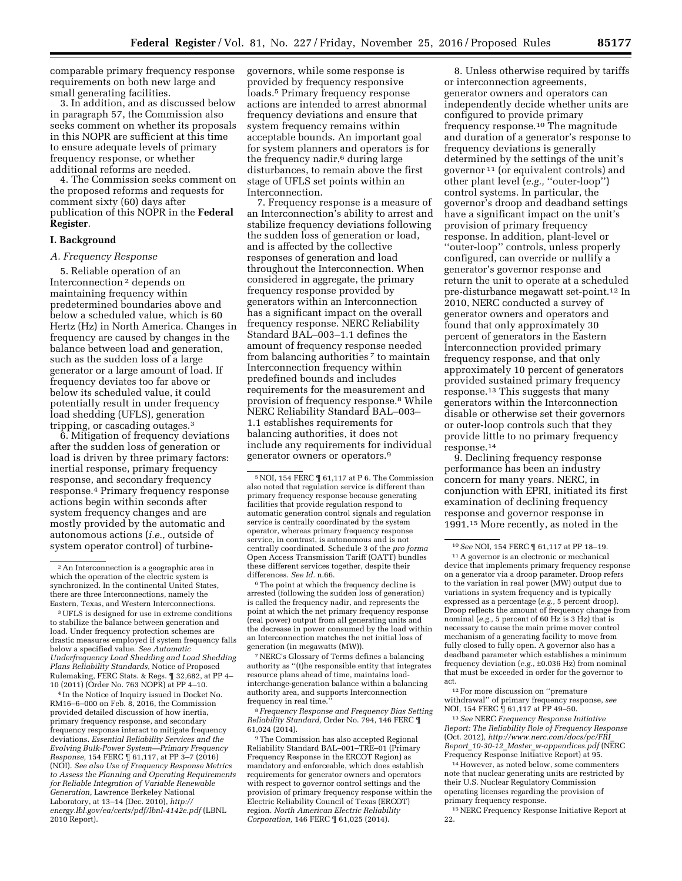comparable primary frequency response requirements on both new large and small generating facilities.

3. In addition, and as discussed below in paragraph 57, the Commission also seeks comment on whether its proposals in this NOPR are sufficient at this time to ensure adequate levels of primary frequency response, or whether additional reforms are needed.

4. The Commission seeks comment on the proposed reforms and requests for comment sixty (60) days after publication of this NOPR in the **Federal Register**.

### **I. Background**

### *A. Frequency Response*

5. Reliable operation of an Interconnection 2 depends on maintaining frequency within predetermined boundaries above and below a scheduled value, which is 60 Hertz (Hz) in North America. Changes in frequency are caused by changes in the balance between load and generation, such as the sudden loss of a large generator or a large amount of load. If frequency deviates too far above or below its scheduled value, it could potentially result in under frequency load shedding (UFLS), generation tripping, or cascading outages.3

6. Mitigation of frequency deviations after the sudden loss of generation or load is driven by three primary factors: inertial response, primary frequency response, and secondary frequency response.4 Primary frequency response actions begin within seconds after system frequency changes and are mostly provided by the automatic and autonomous actions (*i.e.,* outside of system operator control) of turbine-

4 In the Notice of Inquiry issued in Docket No. RM16–6–000 on Feb. 8, 2016, the Commission provided detailed discussion of how inertia, primary frequency response, and secondary frequency response interact to mitigate frequency deviations. *Essential Reliability Services and the Evolving Bulk-Power System—Primary Frequency Response,* 154 FERC ¶ 61,117, at PP 3–7 (2016) (NOI). *See also Use of Frequency Response Metrics to Assess the Planning and Operating Requirements for Reliable Integration of Variable Renewable Generation,* Lawrence Berkeley National Laboratory, at 13–14 (Dec. 2010), *[http://](http://energy.lbl.gov/ea/certs/pdf/lbnl-4142e.pdf) [energy.lbl.gov/ea/certs/pdf/lbnl-4142e.pdf](http://energy.lbl.gov/ea/certs/pdf/lbnl-4142e.pdf)* (LBNL 2010 Report).

governors, while some response is provided by frequency responsive loads.5 Primary frequency response actions are intended to arrest abnormal frequency deviations and ensure that system frequency remains within acceptable bounds. An important goal for system planners and operators is for the frequency nadir,<sup>6</sup> during large disturbances, to remain above the first stage of UFLS set points within an Interconnection.

7. Frequency response is a measure of an Interconnection's ability to arrest and stabilize frequency deviations following the sudden loss of generation or load, and is affected by the collective responses of generation and load throughout the Interconnection. When considered in aggregate, the primary frequency response provided by generators within an Interconnection has a significant impact on the overall frequency response. NERC Reliability Standard BAL–003–1.1 defines the amount of frequency response needed from balancing authorities 7 to maintain Interconnection frequency within predefined bounds and includes requirements for the measurement and provision of frequency response.8 While NERC Reliability Standard BAL–003– 1.1 establishes requirements for balancing authorities, it does not include any requirements for individual generator owners or operators.9

<sup>6</sup>The point at which the frequency decline is arrested (following the sudden loss of generation) is called the frequency nadir, and represents the point at which the net primary frequency response (real power) output from all generating units and the decrease in power consumed by the load within an Interconnection matches the net initial loss of generation (in megawatts (MW)).

7NERC's Glossary of Terms defines a balancing authority as ''(t)he responsible entity that integrates resource plans ahead of time, maintains loadinterchange-generation balance within a balancing authority area, and supports Interconnection frequency in real time.''

8 *Frequency Response and Frequency Bias Setting Reliability Standard,* Order No. 794, 146 FERC ¶ 61,024 (2014).

9The Commission has also accepted Regional Reliability Standard BAL–001–TRE–01 (Primary Frequency Response in the ERCOT Region) as mandatory and enforceable, which does establish requirements for generator owners and operators with respect to governor control settings and the provision of primary frequency response within the Electric Reliability Council of Texas (ERCOT) region. *North American Electric Reliability Corporation,* 146 FERC ¶ 61,025 (2014).

8. Unless otherwise required by tariffs or interconnection agreements, generator owners and operators can independently decide whether units are configured to provide primary frequency response.10 The magnitude and duration of a generator's response to frequency deviations is generally determined by the settings of the unit's governor 11 (or equivalent controls) and other plant level (*e.g.,* ''outer-loop'') control systems. In particular, the governor's droop and deadband settings have a significant impact on the unit's provision of primary frequency response. In addition, plant-level or ''outer-loop'' controls, unless properly configured, can override or nullify a generator's governor response and return the unit to operate at a scheduled pre-disturbance megawatt set-point.12 In 2010, NERC conducted a survey of generator owners and operators and found that only approximately 30 percent of generators in the Eastern Interconnection provided primary frequency response, and that only approximately 10 percent of generators provided sustained primary frequency response.13 This suggests that many generators within the Interconnection disable or otherwise set their governors or outer-loop controls such that they provide little to no primary frequency response.14

9. Declining frequency response performance has been an industry concern for many years. NERC, in conjunction with EPRI, initiated its first examination of declining frequency response and governor response in 1991.15 More recently, as noted in the

11A governor is an electronic or mechanical device that implements primary frequency response on a generator via a droop parameter. Droop refers to the variation in real power (MW) output due to variations in system frequency and is typically expressed as a percentage (*e.g.,* 5 percent droop). Droop reflects the amount of frequency change from nominal (*e.g.,* 5 percent of 60 Hz is 3 Hz) that is necessary to cause the main prime mover control mechanism of a generating facility to move from fully closed to fully open. A governor also has a deadband parameter which establishes a minimum frequency deviation (*e.g.,* ±0.036 Hz) from nominal that must be exceeded in order for the governor to act.

12For more discussion on ''premature withdrawal'' of primary frequency response, *see*  NOI, 154 FERC ¶ 61,117 at PP 49–50.

13*See* NERC *Frequency Response Initiative Report: The Reliability Role of Frequency Response*  (Oct. 2012), *[http://www.nerc.com/docs/pc/FRI](http://www.nerc.com/docs/pc/FRI_Report_10-30-12_Master_w-appendices.pdf)*\_ *Report*\_*10-30-12*\_*Master*\_*[w-appendices.pdf](http://www.nerc.com/docs/pc/FRI_Report_10-30-12_Master_w-appendices.pdf)* (NERC Frequency Response Initiative Report) at 95.

14However, as noted below, some commenters note that nuclear generating units are restricted by their U.S. Nuclear Regulatory Commission operating licenses regarding the provision of primary frequency response.

15NERC Frequency Response Initiative Report at 22.

<sup>2</sup>An Interconnection is a geographic area in which the operation of the electric system is synchronized. In the continental United States, there are three Interconnections, namely the Eastern, Texas, and Western Interconnections.

<sup>3</sup>UFLS is designed for use in extreme conditions to stabilize the balance between generation and load. Under frequency protection schemes are drastic measures employed if system frequency falls below a specified value. *See Automatic Underfrequency Load Shedding and Load Shedding Plans Reliability Standards,* Notice of Proposed Rulemaking, FERC Stats. & Regs. ¶ 32,682, at PP 4– 10 (2011) (Order No. 763 NOPR) at PP 4–10.

<sup>5</sup>NOI, 154 FERC ¶ 61,117 at P 6. The Commission also noted that regulation service is different than primary frequency response because generating facilities that provide regulation respond to automatic generation control signals and regulation service is centrally coordinated by the system operator, whereas primary frequency response service, in contrast, is autonomous and is not centrally coordinated. Schedule 3 of the *pro forma*  Open Access Transmission Tariff (OATT) bundles these different services together, despite their differences. *See Id.* n.66.

<sup>10</sup>*See* NOI, 154 FERC ¶ 61,117 at PP 18–19.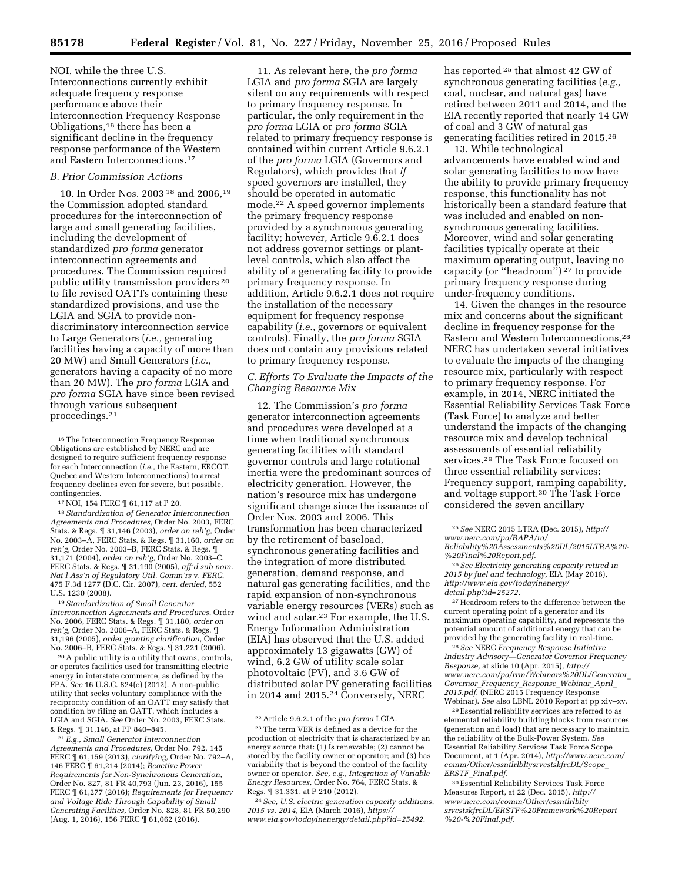NOI, while the three U.S. Interconnections currently exhibit adequate frequency response performance above their Interconnection Frequency Response Obligations,16 there has been a significant decline in the frequency response performance of the Western and Eastern Interconnections.17

# *B. Prior Commission Actions*

10. In Order Nos. 2003 18 and 2006,19 the Commission adopted standard procedures for the interconnection of large and small generating facilities, including the development of standardized *pro forma* generator interconnection agreements and procedures. The Commission required public utility transmission providers 20 to file revised OATTs containing these standardized provisions, and use the LGIA and SGIA to provide nondiscriminatory interconnection service to Large Generators (*i.e.,* generating facilities having a capacity of more than 20 MW) and Small Generators (*i.e.,*  generators having a capacity of no more than 20 MW). The *pro forma* LGIA and *pro forma* SGIA have since been revised through various subsequent proceedings.21

17NOI, 154 FERC ¶ 61,117 at P 20.

18*Standardization of Generator Interconnection Agreements and Procedures,* Order No. 2003, FERC Stats. & Regs. ¶ 31,146 (2003), *order on reh'g,* Order No. 2003–A, FERC Stats. & Regs. ¶ 31,160, *order on reh'g,* Order No. 2003–B, FERC Stats. & Regs. ¶ 31,171 (2004), *order on reh'g,* Order No. 2003–C, FERC Stats. & Regs. ¶ 31,190 (2005), *aff'd sub nom. Nat'l Ass'n of Regulatory Util. Comm'rs* v. *FERC,*  475 F.3d 1277 (D.C. Cir. 2007), *cert. denied,* 552 U.S. 1230 (2008).

19*Standardization of Small Generator Interconnection Agreements and Procedures,* Order No. 2006, FERC Stats. & Regs. ¶ 31,180, *order on reh'g,* Order No. 2006–A, FERC Stats. & Regs. ¶ 31,196 (2005), *order granting clarification,* Order No. 2006–B, FERC Stats. & Regs. ¶ 31,221 (2006).

20A public utility is a utility that owns, controls, or operates facilities used for transmitting electric energy in interstate commerce, as defined by the FPA. *See* 16 U.S.C. 824(e) (2012). A non-public utility that seeks voluntary compliance with the reciprocity condition of an OATT may satisfy that condition by filing an OATT, which includes a LGIA and SGIA. *See* Order No. 2003, FERC Stats. & Regs. ¶ 31,146, at PP 840–845.

21*E.g., Small Generator Interconnection Agreements and Procedures,* Order No. 792, 145 FERC ¶ 61,159 (2013), *clarifying,* Order No. 792–A, 146 FERC ¶ 61,214 (2014); *Reactive Power Requirements for Non-Synchronous Generation,*  Order No. 827, 81 FR 40,793 (Jun. 23, 2016), 155 FERC ¶ 61,277 (2016); *Requirements for Frequency and Voltage Ride Through Capability of Small Generating Facilities,* Order No. 828, 81 FR 50,290 (Aug. 1, 2016), 156 FERC ¶ 61,062 (2016).

11. As relevant here, the *pro forma*  LGIA and *pro forma* SGIA are largely silent on any requirements with respect to primary frequency response. In particular, the only requirement in the *pro forma* LGIA or *pro forma* SGIA related to primary frequency response is contained within current Article 9.6.2.1 of the *pro forma* LGIA (Governors and Regulators), which provides that *if*  speed governors are installed, they should be operated in automatic mode.22 A speed governor implements the primary frequency response provided by a synchronous generating facility; however, Article 9.6.2.1 does not address governor settings or plantlevel controls, which also affect the ability of a generating facility to provide primary frequency response. In addition, Article 9.6.2.1 does not require the installation of the necessary equipment for frequency response capability (*i.e.,* governors or equivalent controls). Finally, the *pro forma* SGIA does not contain any provisions related to primary frequency response.

# *C. Efforts To Evaluate the Impacts of the Changing Resource Mix*

12. The Commission's *pro forma*  generator interconnection agreements and procedures were developed at a time when traditional synchronous generating facilities with standard governor controls and large rotational inertia were the predominant sources of electricity generation. However, the nation's resource mix has undergone significant change since the issuance of Order Nos. 2003 and 2006. This transformation has been characterized by the retirement of baseload, synchronous generating facilities and the integration of more distributed generation, demand response, and natural gas generating facilities, and the rapid expansion of non-synchronous variable energy resources (VERs) such as wind and solar.23 For example, the U.S. Energy Information Administration (EIA) has observed that the U.S. added approximately 13 gigawatts (GW) of wind, 6.2 GW of utility scale solar photovoltaic (PV), and 3.6 GW of distributed solar PV generating facilities in 2014 and 2015.24 Conversely, NERC

has reported 25 that almost 42 GW of synchronous generating facilities (*e.g.,*  coal, nuclear, and natural gas) have retired between 2011 and 2014, and the EIA recently reported that nearly 14 GW of coal and 3 GW of natural gas generating facilities retired in 2015.26

13. While technological advancements have enabled wind and solar generating facilities to now have the ability to provide primary frequency response, this functionality has not historically been a standard feature that was included and enabled on nonsynchronous generating facilities. Moreover, wind and solar generating facilities typically operate at their maximum operating output, leaving no capacity (or ''headroom'') 27 to provide primary frequency response during under-frequency conditions.

14. Given the changes in the resource mix and concerns about the significant decline in frequency response for the Eastern and Western Interconnections,28 NERC has undertaken several initiatives to evaluate the impacts of the changing resource mix, particularly with respect to primary frequency response. For example, in 2014, NERC initiated the Essential Reliability Services Task Force (Task Force) to analyze and better understand the impacts of the changing resource mix and develop technical assessments of essential reliability services.29 The Task Force focused on three essential reliability services: Frequency support, ramping capability, and voltage support.30 The Task Force considered the seven ancillary

27Headroom refers to the difference between the current operating point of a generator and its maximum operating capability, and represents the potential amount of additional energy that can be provided by the generating facility in real-time.

28*See* NERC *Frequency Response Initiative Industry Advisory—Generator Governor Frequency Response,* at slide 10 (Apr. 2015), *[http://](http://www.nerc.com/pa/rrm/Webinars%20DL/Generator_Governor_Frequency_Response_Webinar_April_2015.pdf) [www.nerc.com/pa/rrm/Webinars%20DL/Generator](http://www.nerc.com/pa/rrm/Webinars%20DL/Generator_Governor_Frequency_Response_Webinar_April_2015.pdf)*\_ *Governor*\_*[Frequency](http://www.nerc.com/pa/rrm/Webinars%20DL/Generator_Governor_Frequency_Response_Webinar_April_2015.pdf)*\_*Response*\_*Webinar*\_*April*\_ *[2015.pdf.](http://www.nerc.com/pa/rrm/Webinars%20DL/Generator_Governor_Frequency_Response_Webinar_April_2015.pdf)* (NERC 2015 Frequency Response Webinar). *See* also LBNL 2010 Report at pp xiv–xv.

29Essential reliability services are referred to as elemental reliability building blocks from resources (generation and load) that are necessary to maintain the reliability of the Bulk-Power System. *See*  Essential Reliability Services Task Force Scope Document, at 1 (Apr. 2014), *[http://www.nerc.com/](http://www.nerc.com/comm/Other/essntlrlbltysrvcstskfrcDL/Scope_ERSTF_Final.pdf)  [comm/Other/essntlrlbltysrvcstskfrcDL/Scope](http://www.nerc.com/comm/Other/essntlrlbltysrvcstskfrcDL/Scope_ERSTF_Final.pdf)*\_ *ERSTF*\_*[Final.pdf.](http://www.nerc.com/comm/Other/essntlrlbltysrvcstskfrcDL/Scope_ERSTF_Final.pdf)* 

<sup>16</sup>The Interconnection Frequency Response Obligations are established by NERC and are designed to require sufficient frequency response for each Interconnection (*i.e.,* the Eastern, ERCOT, Quebec and Western Interconnections) to arrest frequency declines even for severe, but possible, contingencies.

<sup>22</sup>Article 9.6.2.1 of the *pro forma* LGIA. 23The term VER is defined as a device for the production of electricity that is characterized by an energy source that: (1) Is renewable; (2) cannot be stored by the facility owner or operator; and (3) has variability that is beyond the control of the facility owner or operator. *See, e.g., Integration of Variable Energy Resources,* Order No. 764, FERC Stats. & Regs. ¶ 31,331, at P 210 (2012).

<sup>24</sup>*See, U.S. electric generation capacity additions, 2015 vs. 2014,* EIA (March 2016), *[https://](https://www.eia.gov/todayinenergy/detail.php?id=25492) [www.eia.gov/todayinenergy/detail.php?id=25492.](https://www.eia.gov/todayinenergy/detail.php?id=25492)* 

<sup>25</sup>*See* NERC 2015 LTRA (Dec. 2015), *[http://](http://www.nerc.com/pa/RAPA/ra/Reliability%20Assessments%20DL/2015LTRA%20-%20Final%20Report.pdf) [www.nerc.com/pa/RAPA/ra/](http://www.nerc.com/pa/RAPA/ra/Reliability%20Assessments%20DL/2015LTRA%20-%20Final%20Report.pdf)* 

*[Reliability%20Assessments%20DL/2015LTRA%20-](http://www.nerc.com/pa/RAPA/ra/Reliability%20Assessments%20DL/2015LTRA%20-%20Final%20Report.pdf) [%20Final%20Report.pdf.](http://www.nerc.com/pa/RAPA/ra/Reliability%20Assessments%20DL/2015LTRA%20-%20Final%20Report.pdf)* 

<sup>26</sup>*See Electricity generating capacity retired in 2015 by fuel and technology,* EIA (May 2016), *[http://www.eia.gov/todayinenergy/](http://www.eia.gov/todayinenergy/detail.php?id=25272) [detail.php?id=25272.](http://www.eia.gov/todayinenergy/detail.php?id=25272)* 

<sup>30</sup>Essential Reliability Services Task Force Measures Report, at 22 (Dec. 2015), *[http://](http://www.nerc.com/comm/Other/essntlrlbltysrvcstskfrcDL/ERSTF%20Framework%20Report%20-%20Final.pdf) [www.nerc.com/comm/Other/essntlrlblty](http://www.nerc.com/comm/Other/essntlrlbltysrvcstskfrcDL/ERSTF%20Framework%20Report%20-%20Final.pdf) [srvcstskfrcDL/ERSTF%20Framework%20Report](http://www.nerc.com/comm/Other/essntlrlbltysrvcstskfrcDL/ERSTF%20Framework%20Report%20-%20Final.pdf) [%20-%20Final.pdf.](http://www.nerc.com/comm/Other/essntlrlbltysrvcstskfrcDL/ERSTF%20Framework%20Report%20-%20Final.pdf)*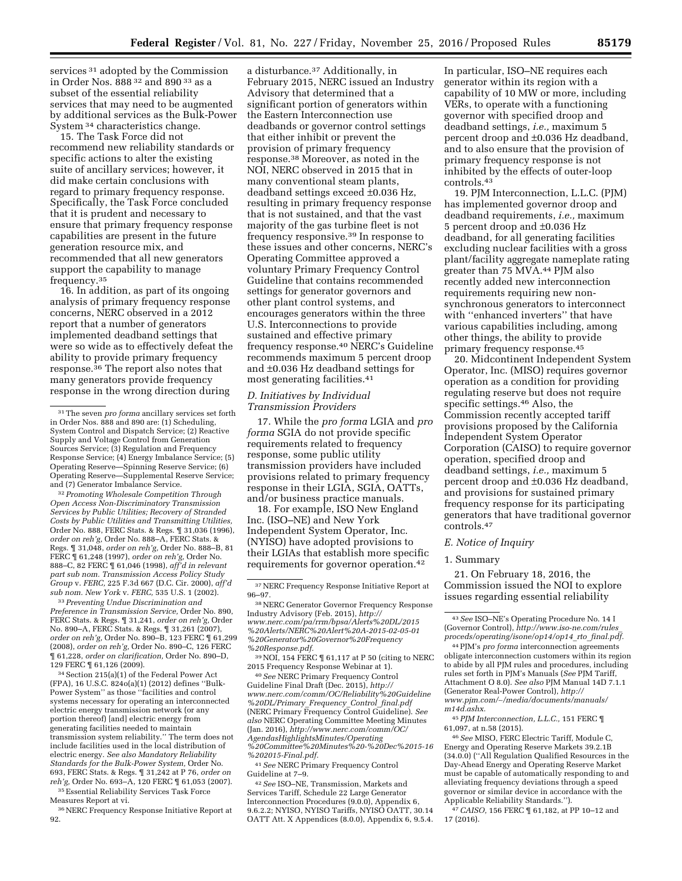services 31 adopted by the Commission in Order Nos. 888 32 and 890 33 as a subset of the essential reliability services that may need to be augmented by additional services as the Bulk-Power System 34 characteristics change.

15. The Task Force did not recommend new reliability standards or specific actions to alter the existing suite of ancillary services; however, it did make certain conclusions with regard to primary frequency response. Specifically, the Task Force concluded that it is prudent and necessary to ensure that primary frequency response capabilities are present in the future generation resource mix, and recommended that all new generators support the capability to manage frequency.35

16. In addition, as part of its ongoing analysis of primary frequency response concerns, NERC observed in a 2012 report that a number of generators implemented deadband settings that were so wide as to effectively defeat the ability to provide primary frequency response.36 The report also notes that many generators provide frequency response in the wrong direction during

32*Promoting Wholesale Competition Through Open Access Non-Discriminatory Transmission Services by Public Utilities; Recovery of Stranded Costs by Public Utilities and Transmitting Utilities,*  Order No. 888, FERC Stats. & Regs. ¶ 31,036 (1996), *order on reh'g,* Order No. 888–A, FERC Stats. & Regs. ¶ 31,048, *order on reh'g,* Order No. 888–B, 81 FERC ¶ 61,248 (1997), *order on reh'g,* Order No. 888–C, 82 FERC ¶ 61,046 (1998), *aff'd in relevant part sub nom. Transmission Access Policy Study Group* v. *FERC,* 225 F.3d 667 (D.C. Cir. 2000), *aff'd sub nom. New York* v. *FERC,* 535 U.S. 1 (2002).

33*Preventing Undue Discrimination and Preference in Transmission Service,* Order No. 890, FERC Stats. & Regs. ¶ 31,241, *order on reh'g,* Order No. 890–A, FERC Stats. & Regs. ¶ 31,261 (2007), *order on reh'g,* Order No. 890–B, 123 FERC ¶ 61,299 (2008), *order on reh'g,* Order No. 890–C, 126 FERC ¶ 61,228, *order on clarification,* Order No. 890–D, 129 FERC ¶ 61,126 (2009).

34Section 215(a)(1) of the Federal Power Act (FPA), 16 U.S.C. 824o(a)(1) (2012) defines ''Bulk-Power System'' as those ''facilities and control systems necessary for operating an interconnected electric energy transmission network (or any portion thereof) [and] electric energy from generating facilities needed to maintain transmission system reliability.'' The term does not include facilities used in the local distribution of electric energy. *See also Mandatory Reliability Standards for the Bulk-Power System,* Order No. 693, FERC Stats. & Regs. ¶ 31,242 at P 76, *order on reh'g,* Order No. 693–A, 120 FERC ¶ 61,053 (2007).

35Essential Reliability Services Task Force Measures Report at vi.

36NERC Frequency Response Initiative Report at 92.

a disturbance.37 Additionally, in February 2015, NERC issued an Industry Advisory that determined that a significant portion of generators within the Eastern Interconnection use deadbands or governor control settings that either inhibit or prevent the provision of primary frequency response.38 Moreover, as noted in the NOI, NERC observed in 2015 that in many conventional steam plants, deadband settings exceed ±0.036 Hz, resulting in primary frequency response that is not sustained, and that the vast majority of the gas turbine fleet is not frequency responsive.39 In response to these issues and other concerns, NERC's Operating Committee approved a voluntary Primary Frequency Control Guideline that contains recommended settings for generator governors and other plant control systems, and encourages generators within the three U.S. Interconnections to provide sustained and effective primary frequency response.40 NERC's Guideline recommends maximum 5 percent droop and ±0.036 Hz deadband settings for most generating facilities.41

# *D. Initiatives by Individual Transmission Providers*

17. While the *pro forma* LGIA and *pro forma* SGIA do not provide specific requirements related to frequency response, some public utility transmission providers have included provisions related to primary frequency response in their LGIA, SGIA, OATTs, and/or business practice manuals.

18. For example, ISO New England Inc. (ISO–NE) and New York Independent System Operator, Inc. (NYISO) have adopted provisions to their LGIAs that establish more specific requirements for governor operation.42

<sup>39</sup> NOI, 154 FERC  $\P$  61,117 at P 50 (citing to NERC 2015 Frequency Response Webinar at 1).

<sup>40</sup> See NERC Primary Frequency Control Guideline Final Draft (Dec. 2015), *[http://](http://www.nerc.com/comm/OC/Reliability%20Guideline%20DL/Primary_Frequency_Control_final.pdf) [www.nerc.com/comm/OC/Reliability%20Guideline](http://www.nerc.com/comm/OC/Reliability%20Guideline%20DL/Primary_Frequency_Control_final.pdf) [%20DL/Primary](http://www.nerc.com/comm/OC/Reliability%20Guideline%20DL/Primary_Frequency_Control_final.pdf)*\_*Frequency*\_*Control*\_*final.pdf*  (NERC Primary Frequency Control Guideline). *See also* NERC Operating Committee Meeting Minutes (Jan. 2016), *[http://www.nerc.com/comm/OC/](http://www.nerc.com/comm/OC/AgendasHighlightsMinutes/Operating%20Committee%20Minutes%20-%20Dec%2015-16%202015-Final.pdf) [AgendasHighlightsMinutes/Operating](http://www.nerc.com/comm/OC/AgendasHighlightsMinutes/Operating%20Committee%20Minutes%20-%20Dec%2015-16%202015-Final.pdf) [%20Committee%20Minutes%20-%20Dec%2015-16](http://www.nerc.com/comm/OC/AgendasHighlightsMinutes/Operating%20Committee%20Minutes%20-%20Dec%2015-16%202015-Final.pdf) [%202015-Final.pdf.](http://www.nerc.com/comm/OC/AgendasHighlightsMinutes/Operating%20Committee%20Minutes%20-%20Dec%2015-16%202015-Final.pdf)* 

41*See* NERC Primary Frequency Control Guideline at 7–9.

42*See* ISO–NE, Transmission, Markets and Services Tariff, Schedule 22 Large Generator Interconnection Procedures (9.0.0), Appendix 6, 9.6.2.2; NYISO, NYISO Tariffs, NYISO OATT, 30.14 OATT Att. X Appendices (8.0.0), Appendix 6, 9.5.4.

In particular, ISO–NE requires each generator within its region with a capability of 10 MW or more, including VERs, to operate with a functioning governor with specified droop and deadband settings, *i.e.,* maximum 5 percent droop and ±0.036 Hz deadband, and to also ensure that the provision of primary frequency response is not inhibited by the effects of outer-loop controls.43

19. PJM Interconnection, L.L.C. (PJM) has implemented governor droop and deadband requirements, *i.e.,* maximum 5 percent droop and ±0.036 Hz deadband, for all generating facilities excluding nuclear facilities with a gross plant/facility aggregate nameplate rating greater than 75 MVA.44 PJM also recently added new interconnection requirements requiring new nonsynchronous generators to interconnect with ''enhanced inverters'' that have various capabilities including, among other things, the ability to provide primary frequency response.45

20. Midcontinent Independent System Operator, Inc. (MISO) requires governor operation as a condition for providing regulating reserve but does not require specific settings.46 Also, the Commission recently accepted tariff provisions proposed by the California Independent System Operator Corporation (CAISO) to require governor operation, specified droop and deadband settings, *i.e.,* maximum 5 percent droop and ±0.036 Hz deadband, and provisions for sustained primary frequency response for its participating generators that have traditional governor controls.47

### *E. Notice of Inquiry*

#### 1. Summary

21. On February 18, 2016, the Commission issued the NOI to explore issues regarding essential reliability

45*PJM Interconnection, L.L.C.,* 151 FERC ¶ 61,097, at n.58 (2015).

46*See* MISO, FERC Electric Tariff, Module C, Energy and Operating Reserve Markets 39.2.1B (34.0.0) (''All Regulation Qualified Resources in the Day-Ahead Energy and Operating Reserve Market must be capable of automatically responding to and alleviating frequency deviations through a speed governor or similar device in accordance with the Applicable Reliability Standards.'').

47*CAISO,* 156 FERC ¶ 61,182, at PP 10–12 and 17 (2016).

<sup>31</sup>The seven *pro forma* ancillary services set forth in Order Nos. 888 and 890 are: (1) Scheduling, System Control and Dispatch Service; (2) Reactive Supply and Voltage Control from Generation Sources Service; (3) Regulation and Frequency Response Service; (4) Energy Imbalance Service; (5) Operating Reserve—Spinning Reserve Service; (6) Operating Reserve—Supplemental Reserve Service; and (7) Generator Imbalance Service.

 $37$  NERC Frequency Response Initiative Report at  $96-97$ 

<sup>&</sup>lt;sup>38</sup> NERC Generator Governor Frequency Response Industry Advisory (Feb. 2015), *[http://](http://www.nerc.com/pa/rrm/bpsa/Alerts%20DL/2015%20Alerts/NERC%20Alert%20A-2015-02-05-01%20Generator%20Governor%20Frequency%20Response.pdf) [www.nerc.com/pa/rrm/bpsa/Alerts%20DL/2015](http://www.nerc.com/pa/rrm/bpsa/Alerts%20DL/2015%20Alerts/NERC%20Alert%20A-2015-02-05-01%20Generator%20Governor%20Frequency%20Response.pdf) [%20Alerts/NERC%20Alert%20A-2015-02-05-01](http://www.nerc.com/pa/rrm/bpsa/Alerts%20DL/2015%20Alerts/NERC%20Alert%20A-2015-02-05-01%20Generator%20Governor%20Frequency%20Response.pdf) [%20Generator%20Governor%20Frequency](http://www.nerc.com/pa/rrm/bpsa/Alerts%20DL/2015%20Alerts/NERC%20Alert%20A-2015-02-05-01%20Generator%20Governor%20Frequency%20Response.pdf) [%20Response.pdf.](http://www.nerc.com/pa/rrm/bpsa/Alerts%20DL/2015%20Alerts/NERC%20Alert%20A-2015-02-05-01%20Generator%20Governor%20Frequency%20Response.pdf)* 

<sup>43</sup>*See* ISO–NE's Operating Procedure No. 14 I (Governor Control), *[http://www.iso-ne.com/rules](http://www.iso-ne.com/rules_proceds/operating/isone/op14/op14_rto_final.pdf)*\_ *[proceds/operating/isone/op14/op14](http://www.iso-ne.com/rules_proceds/operating/isone/op14/op14_rto_final.pdf)*\_*rto*\_*final.pdf.* 

<sup>44</sup>PJM's *pro forma* interconnection agreements obligate interconnection customers within its region to abide by all PJM rules and procedures, including rules set forth in PJM's Manuals (*See* PJM Tariff, Attachment O 8.0). *See also* PJM Manual 14D 7.1.1 (Generator Real-Power Control), *[http://](http://www.pjm.com/~/media/documents/manuals/m14d.ashx) www.pjm.com/*∼*[/media/documents/manuals/](http://www.pjm.com/~/media/documents/manuals/m14d.ashx) [m14d.ashx.](http://www.pjm.com/~/media/documents/manuals/m14d.ashx)*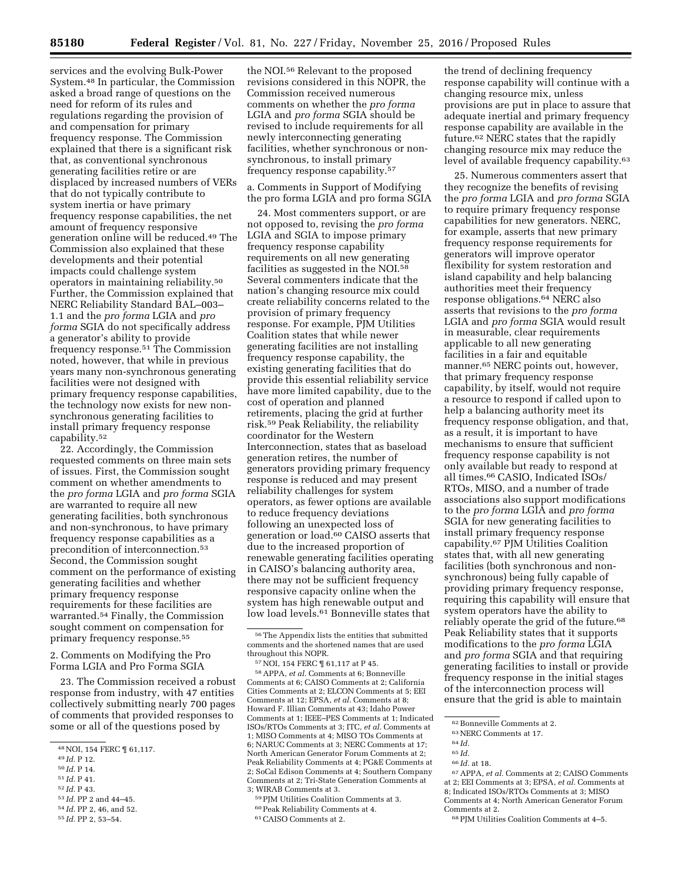services and the evolving Bulk-Power System.48 In particular, the Commission asked a broad range of questions on the need for reform of its rules and regulations regarding the provision of and compensation for primary frequency response. The Commission explained that there is a significant risk that, as conventional synchronous generating facilities retire or are displaced by increased numbers of VERs that do not typically contribute to system inertia or have primary frequency response capabilities, the net amount of frequency responsive generation online will be reduced.49 The Commission also explained that these developments and their potential impacts could challenge system operators in maintaining reliability.50 Further, the Commission explained that NERC Reliability Standard BAL–003– 1.1 and the *pro forma* LGIA and *pro forma* SGIA do not specifically address a generator's ability to provide frequency response.51 The Commission noted, however, that while in previous years many non-synchronous generating facilities were not designed with primary frequency response capabilities, the technology now exists for new nonsynchronous generating facilities to install primary frequency response capability.52

22. Accordingly, the Commission requested comments on three main sets of issues. First, the Commission sought comment on whether amendments to the *pro forma* LGIA and *pro forma* SGIA are warranted to require all new generating facilities, both synchronous and non-synchronous, to have primary frequency response capabilities as a precondition of interconnection.53 Second, the Commission sought comment on the performance of existing generating facilities and whether primary frequency response requirements for these facilities are warranted.54 Finally, the Commission sought comment on compensation for primary frequency response.55

2. Comments on Modifying the Pro Forma LGIA and Pro Forma SGIA

23. The Commission received a robust response from industry, with 47 entities collectively submitting nearly 700 pages of comments that provided responses to some or all of the questions posed by

- 49 *Id.* P 12.
- 50 *Id.* P 14.
- 51 *Id.* P 41.
- 52 *Id.* P 43.
- 53 *Id.* PP 2 and 44–45.

55 *Id.* PP 2, 53–54.

the NOI.56 Relevant to the proposed revisions considered in this NOPR, the Commission received numerous comments on whether the *pro forma*  LGIA and *pro forma* SGIA should be revised to include requirements for all newly interconnecting generating facilities, whether synchronous or nonsynchronous, to install primary frequency response capability.57

a. Comments in Support of Modifying the pro forma LGIA and pro forma SGIA

24. Most commenters support, or are not opposed to, revising the *pro forma*  LGIA and SGIA to impose primary frequency response capability requirements on all new generating facilities as suggested in the NOI.58 Several commenters indicate that the nation's changing resource mix could create reliability concerns related to the provision of primary frequency response. For example, PJM Utilities Coalition states that while newer generating facilities are not installing frequency response capability, the existing generating facilities that do provide this essential reliability service have more limited capability, due to the cost of operation and planned retirements, placing the grid at further risk.59 Peak Reliability, the reliability coordinator for the Western Interconnection, states that as baseload generation retires, the number of generators providing primary frequency response is reduced and may present reliability challenges for system operators, as fewer options are available to reduce frequency deviations following an unexpected loss of generation or load.60 CAISO asserts that due to the increased proportion of renewable generating facilities operating in CAISO's balancing authority area, there may not be sufficient frequency responsive capacity online when the system has high renewable output and low load levels.<sup>61</sup> Bonneville states that

58APPA, *et al.* Comments at 6; Bonneville Comments at 6; CAISO Comments at 2; California Cities Comments at 2; ELCON Comments at 5; EEI Comments at 12; EPSA, *et al.* Comments at 8; Howard F. Illian Comments at 43; Idaho Power Comments at 1; IEEE–PES Comments at 1; Indicated ISOs/RTOs Comments at 3; ITC, *et al.* Comments at 1; MISO Comments at 4; MISO TOs Comments at 6; NARUC Comments at 3; NERC Comments at 17; North American Generator Forum Comments at 2; Peak Reliability Comments at 4; PG&E Comments at 2; SoCal Edison Comments at 4; Southern Company Comments at 2; Tri-State Generation Comments at 3; WIRAB Comments at 3.

59PJM Utilities Coalition Comments at 3.

61CAISO Comments at 2.

the trend of declining frequency response capability will continue with a changing resource mix, unless provisions are put in place to assure that adequate inertial and primary frequency response capability are available in the future.62 NERC states that the rapidly changing resource mix may reduce the level of available frequency capability.63

25. Numerous commenters assert that they recognize the benefits of revising the *pro forma* LGIA and *pro forma* SGIA to require primary frequency response capabilities for new generators. NERC, for example, asserts that new primary frequency response requirements for generators will improve operator flexibility for system restoration and island capability and help balancing authorities meet their frequency response obligations.64 NERC also asserts that revisions to the *pro forma*  LGIA and *pro forma* SGIA would result in measurable, clear requirements applicable to all new generating facilities in a fair and equitable manner.65 NERC points out, however, that primary frequency response capability, by itself, would not require a resource to respond if called upon to help a balancing authority meet its frequency response obligation, and that, as a result, it is important to have mechanisms to ensure that sufficient frequency response capability is not only available but ready to respond at all times.66 CASIO, Indicated ISOs/ RTOs, MISO, and a number of trade associations also support modifications to the *pro forma* LGIA and *pro forma*  SGIA for new generating facilities to install primary frequency response capability.67 PJM Utilities Coalition states that, with all new generating facilities (both synchronous and nonsynchronous) being fully capable of providing primary frequency response, requiring this capability will ensure that system operators have the ability to reliably operate the grid of the future.<sup>68</sup> Peak Reliability states that it supports modifications to the *pro forma* LGIA and *pro forma* SGIA and that requiring generating facilities to install or provide frequency response in the initial stages of the interconnection process will ensure that the grid is able to maintain

63NERC Comments at 17.

- 65 *Id.*
- 66 *Id.* at 18.

67APPA, *et al.* Comments at 2; CAISO Comments at 2; EEI Comments at 3; EPSA, *et al.* Comments at 8; Indicated ISOs/RTOs Comments at 3; MISO Comments at 4; North American Generator Forum Comments at 2.

68PJM Utilities Coalition Comments at 4–5.

<sup>48</sup>NOI, 154 FERC ¶ 61,117.

<sup>54</sup> *Id.* PP 2, 46, and 52.

 $^{56}\mathrm{The}$  Appendix lists the entities that submitted comments and the shortened names that are used throughout this NOPR.

<sup>57</sup>NOI, 154 FERC ¶ 61,117 at P 45.

<sup>60</sup>Peak Reliability Comments at 4.

<sup>62</sup>Bonneville Comments at 2.

<sup>64</sup> *Id.*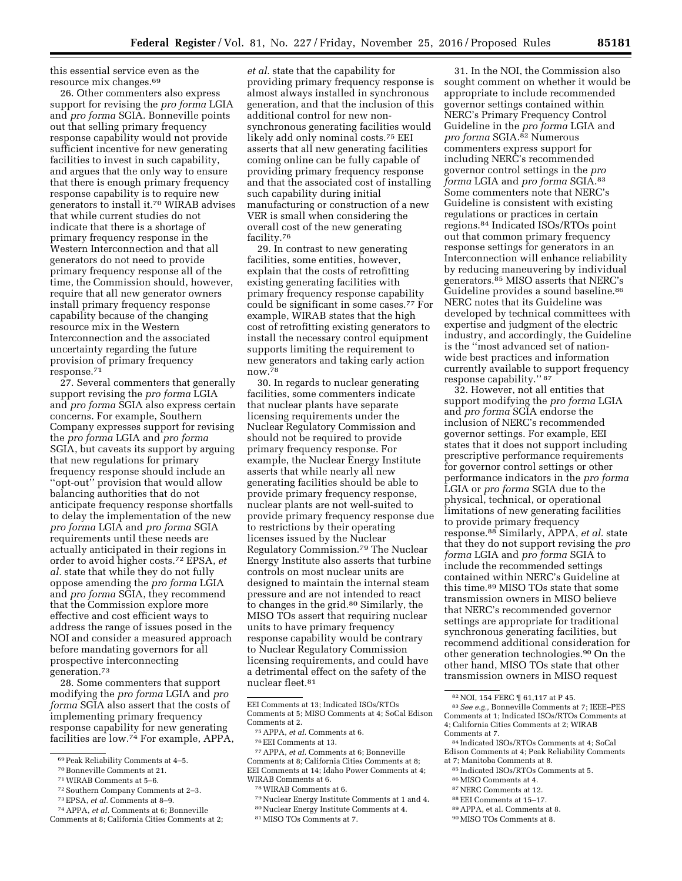this essential service even as the resource mix changes.69

26. Other commenters also express support for revising the *pro forma* LGIA and *pro forma* SGIA. Bonneville points out that selling primary frequency response capability would not provide sufficient incentive for new generating facilities to invest in such capability, and argues that the only way to ensure that there is enough primary frequency response capability is to require new generators to install it.70 WIRAB advises that while current studies do not indicate that there is a shortage of primary frequency response in the Western Interconnection and that all generators do not need to provide primary frequency response all of the time, the Commission should, however, require that all new generator owners install primary frequency response capability because of the changing resource mix in the Western Interconnection and the associated uncertainty regarding the future provision of primary frequency response.71

27. Several commenters that generally support revising the *pro forma* LGIA and *pro forma* SGIA also express certain concerns. For example, Southern Company expresses support for revising the *pro forma* LGIA and *pro forma*  SGIA, but caveats its support by arguing that new regulations for primary frequency response should include an ''opt-out'' provision that would allow balancing authorities that do not anticipate frequency response shortfalls to delay the implementation of the new *pro forma* LGIA and *pro forma* SGIA requirements until these needs are actually anticipated in their regions in order to avoid higher costs.72 EPSA, *et al.* state that while they do not fully oppose amending the *pro forma* LGIA and *pro forma* SGIA, they recommend that the Commission explore more effective and cost efficient ways to address the range of issues posed in the NOI and consider a measured approach before mandating governors for all prospective interconnecting generation.73

28. Some commenters that support modifying the *pro forma* LGIA and *pro forma* SGIA also assert that the costs of implementing primary frequency response capability for new generating facilities are low.74 For example, APPA,

- 70Bonneville Comments at 21.
- 71WIRAB Comments at 5–6.
- 72Southern Company Comments at 2–3.
- 73EPSA, *et al.* Comments at 8–9.
- 74APPA, *et al.* Comments at 6; Bonneville Comments at 8; California Cities Comments at 2;

*et al.* state that the capability for providing primary frequency response is almost always installed in synchronous generation, and that the inclusion of this additional control for new nonsynchronous generating facilities would likely add only nominal costs.75 EEI asserts that all new generating facilities coming online can be fully capable of providing primary frequency response and that the associated cost of installing such capability during initial manufacturing or construction of a new VER is small when considering the overall cost of the new generating facility.76

29. In contrast to new generating facilities, some entities, however, explain that the costs of retrofitting existing generating facilities with primary frequency response capability could be significant in some cases.77 For example, WIRAB states that the high cost of retrofitting existing generators to install the necessary control equipment supports limiting the requirement to new generators and taking early action now.78

30. In regards to nuclear generating facilities, some commenters indicate that nuclear plants have separate licensing requirements under the Nuclear Regulatory Commission and should not be required to provide primary frequency response. For example, the Nuclear Energy Institute asserts that while nearly all new generating facilities should be able to provide primary frequency response, nuclear plants are not well-suited to provide primary frequency response due to restrictions by their operating licenses issued by the Nuclear Regulatory Commission.79 The Nuclear Energy Institute also asserts that turbine controls on most nuclear units are designed to maintain the internal steam pressure and are not intended to react to changes in the grid.<sup>80</sup> Similarly, the MISO TOs assert that requiring nuclear units to have primary frequency response capability would be contrary to Nuclear Regulatory Commission licensing requirements, and could have a detrimental effect on the safety of the nuclear fleet.81

76EEI Comments at 13.

77APPA, *et al.* Comments at 6; Bonneville Comments at 8; California Cities Comments at 8; EEI Comments at 14; Idaho Power Comments at 4; WIRAB Comments at 6.

- 78WIRAB Comments at 6.
- 79Nuclear Energy Institute Comments at 1 and 4.
- 80Nuclear Energy Institute Comments at 4.
- 81MISO TOs Comments at 7.

31. In the NOI, the Commission also sought comment on whether it would be appropriate to include recommended governor settings contained within NERC's Primary Frequency Control Guideline in the *pro forma* LGIA and *pro forma* SGIA.82 Numerous commenters express support for including NERC's recommended governor control settings in the *pro forma* LGIA and *pro forma* SGIA.83 Some commenters note that NERC's Guideline is consistent with existing regulations or practices in certain regions.84 Indicated ISOs/RTOs point out that common primary frequency response settings for generators in an Interconnection will enhance reliability by reducing maneuvering by individual generators.85 MISO asserts that NERC's Guideline provides a sound baseline.<sup>86</sup> NERC notes that its Guideline was developed by technical committees with expertise and judgment of the electric industry, and accordingly, the Guideline is the ''most advanced set of nationwide best practices and information currently available to support frequency response capability.'' 87

32. However, not all entities that support modifying the *pro forma* LGIA and *pro forma* SGIA endorse the inclusion of NERC's recommended governor settings. For example, EEI states that it does not support including prescriptive performance requirements for governor control settings or other performance indicators in the *pro forma*  LGIA or *pro forma* SGIA due to the physical, technical, or operational limitations of new generating facilities to provide primary frequency response.88 Similarly, APPA, *et al.* state that they do not support revising the *pro forma* LGIA and *pro forma* SGIA to include the recommended settings contained within NERC's Guideline at this time.89 MISO TOs state that some transmission owners in MISO believe that NERC's recommended governor settings are appropriate for traditional synchronous generating facilities, but recommend additional consideration for other generation technologies.90 On the other hand, MISO TOs state that other transmission owners in MISO request

82NOI, 154 FERC ¶ 61,117 at P 45. 83*See e.g.,* Bonneville Comments at 7; IEEE–PES Comments at 1; Indicated ISOs/RTOs Comments at 4; California Cities Comments at 2; WIRAB

- <sup>85</sup> Indicated ISOs/RTOs Comments at 5.<br><sup>86</sup> MISO Comments at 4.<br><sup>87</sup>NERC Comments at 12.<br><sup>88</sup> EEI Comments at 15–17.<br><sup>89</sup> APPA, et al. Comments at 8.<br>90 MISO TOs Comments at 8.
- 
- -
- 
- 

<sup>69</sup>Peak Reliability Comments at 4–5.

EEI Comments at 13; Indicated ISOs/RTOs Comments at 5; MISO Comments at 4; SoCal Edison Comments at 2.

<sup>75</sup>APPA, *et al.* Comments at 6.

<sup>&</sup>lt;sup>84</sup> Indicated ISOs/RTOs Comments at 4; SoCal Edison Comments at 4; Peak Reliability Comments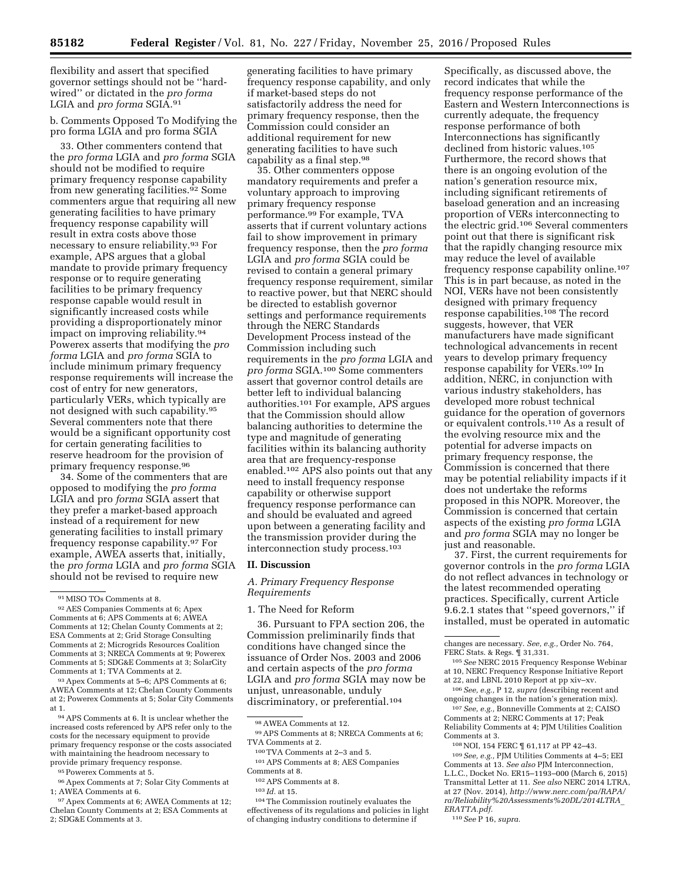flexibility and assert that specified governor settings should not be ''hardwired'' or dictated in the *pro forma*  LGIA and *pro forma* SGIA.91

b. Comments Opposed To Modifying the pro forma LGIA and pro forma SGIA

33. Other commenters contend that the *pro forma* LGIA and *pro forma* SGIA should not be modified to require primary frequency response capability from new generating facilities.92 Some commenters argue that requiring all new generating facilities to have primary frequency response capability will result in extra costs above those necessary to ensure reliability.93 For example, APS argues that a global mandate to provide primary frequency response or to require generating facilities to be primary frequency response capable would result in significantly increased costs while providing a disproportionately minor impact on improving reliability.94 Powerex asserts that modifying the *pro forma* LGIA and *pro forma* SGIA to include minimum primary frequency response requirements will increase the cost of entry for new generators, particularly VERs, which typically are not designed with such capability.95 Several commenters note that there would be a significant opportunity cost for certain generating facilities to reserve headroom for the provision of primary frequency response.96

34. Some of the commenters that are opposed to modifying the *pro forma*  LGIA and pro *forma* SGIA assert that they prefer a market-based approach instead of a requirement for new generating facilities to install primary frequency response capability.97 For example, AWEA asserts that, initially, the *pro forma* LGIA and *pro forma* SGIA should not be revised to require new

93Apex Comments at 5–6; APS Comments at 6; AWEA Comments at 12; Chelan County Comments at 2; Powerex Comments at 5; Solar City Comments at 1.

94APS Comments at 6. It is unclear whether the increased costs referenced by APS refer only to the costs for the necessary equipment to provide primary frequency response or the costs associated with maintaining the headroom necessary to provide primary frequency response.

95Powerex Comments at 5.

97Apex Comments at 6; AWEA Comments at 12; Chelan County Comments at 2; ESA Comments at 2; SDG&E Comments at 3.

generating facilities to have primary frequency response capability, and only if market-based steps do not satisfactorily address the need for primary frequency response, then the Commission could consider an additional requirement for new generating facilities to have such capability as a final step.98

35. Other commenters oppose mandatory requirements and prefer a voluntary approach to improving primary frequency response performance.99 For example, TVA asserts that if current voluntary actions fail to show improvement in primary frequency response, then the *pro forma*  LGIA and *pro forma* SGIA could be revised to contain a general primary frequency response requirement, similar to reactive power, but that NERC should be directed to establish governor settings and performance requirements through the NERC Standards Development Process instead of the Commission including such requirements in the *pro forma* LGIA and *pro forma* SGIA.100 Some commenters assert that governor control details are better left to individual balancing authorities.101 For example, APS argues that the Commission should allow balancing authorities to determine the type and magnitude of generating facilities within its balancing authority area that are frequency-response enabled.102 APS also points out that any need to install frequency response capability or otherwise support frequency response performance can and should be evaluated and agreed upon between a generating facility and the transmission provider during the interconnection study process.103

### **II. Discussion**

*A. Primary Frequency Response Requirements* 

1. The Need for Reform

36. Pursuant to FPA section 206, the Commission preliminarily finds that conditions have changed since the issuance of Order Nos. 2003 and 2006 and certain aspects of the *pro forma*  LGIA and *pro forma* SGIA may now be unjust, unreasonable, unduly discriminatory, or preferential.<sup>104</sup>

effectiveness of its regulations and policies in light of changing industry conditions to determine if

Specifically, as discussed above, the record indicates that while the frequency response performance of the Eastern and Western Interconnections is currently adequate, the frequency response performance of both Interconnections has significantly declined from historic values.105 Furthermore, the record shows that there is an ongoing evolution of the nation's generation resource mix, including significant retirements of baseload generation and an increasing proportion of VERs interconnecting to the electric grid.106 Several commenters point out that there is significant risk that the rapidly changing resource mix may reduce the level of available frequency response capability online.107 This is in part because, as noted in the NOI, VERs have not been consistently designed with primary frequency response capabilities.108 The record suggests, however, that VER manufacturers have made significant technological advancements in recent years to develop primary frequency response capability for VERs.109 In addition, NERC, in conjunction with various industry stakeholders, has developed more robust technical guidance for the operation of governors or equivalent controls.110 As a result of the evolving resource mix and the potential for adverse impacts on primary frequency response, the Commission is concerned that there may be potential reliability impacts if it does not undertake the reforms proposed in this NOPR. Moreover, the Commission is concerned that certain aspects of the existing *pro forma* LGIA and *pro forma* SGIA may no longer be just and reasonable.

37. First, the current requirements for governor controls in the *pro forma* LGIA do not reflect advances in technology or the latest recommended operating practices. Specifically, current Article 9.6.2.1 states that ''speed governors,'' if installed, must be operated in automatic

107*See, e.g.,* Bonneville Comments at 2; CAISO Comments at 2; NERC Comments at 17; Peak Reliability Comments at 4; PJM Utilities Coalition Comments at 3.

108NOI, 154 FERC ¶ 61,117 at PP 42–43.

<sup>91</sup>MISO TOs Comments at 8.

<sup>92</sup>AES Companies Comments at 6; Apex Comments at 6; APS Comments at 6; AWEA Comments at 12; Chelan County Comments at 2; ESA Comments at 2; Grid Storage Consulting Comments at 2; Microgrids Resources Coalition Comments at 3; NRECA Comments at 9; Powerex Comments at 5; SDG&E Comments at 3; SolarCity Comments at 1; TVA Comments at 2.

<sup>96</sup>Apex Comments at 7; Solar City Comments at 1; AWEA Comments at 6.

<sup>98</sup>AWEA Comments at 12.

<sup>99</sup>APS Comments at 8; NRECA Comments at 6; TVA Comments at 2. 100TVA Comments at 2–3 and 5.

<sup>101</sup>APS Comments at 8; AES Companies Comments at 8.

<sup>102</sup>APS Comments at 8.

<sup>103</sup> *Id.* at 15.

<sup>104</sup>The Commission routinely evaluates the

changes are necessary. *See, e.g.,* Order No. 764, FERC Stats. & Regs. ¶ 31,331.

<sup>105</sup>*See* NERC 2015 Frequency Response Webinar at 10, NERC Frequency Response Initiative Report at 22, and LBNL 2010 Report at pp xiv–xv.

<sup>106</sup>*See, e.g.,* P 12, *supra* (describing recent and ongoing changes in the nation's generation mix).

<sup>109</sup>*See, e.g.,* PJM Utilities Comments at 4–5; EEI Comments at 13. *See also* PJM Interconnection, L.L.C., Docket No. ER15–1193–000 (March 6, 2015) Transmittal Letter at 11. *See also* NERC 2014 LTRA, at 27 (Nov. 2014), *[http://www.nerc.com/pa/RAPA/](http://www.nerc.com/pa/RAPA/ra/Reliability%20Assessments%20DL/2014LTRA_ERATTA.pdf)  [ra/Reliability%20Assessments%20DL/2014LTRA](http://www.nerc.com/pa/RAPA/ra/Reliability%20Assessments%20DL/2014LTRA_ERATTA.pdf)*\_ *[ERATTA.pdf.](http://www.nerc.com/pa/RAPA/ra/Reliability%20Assessments%20DL/2014LTRA_ERATTA.pdf)* 

<sup>110</sup>*See* P 16, *supra.*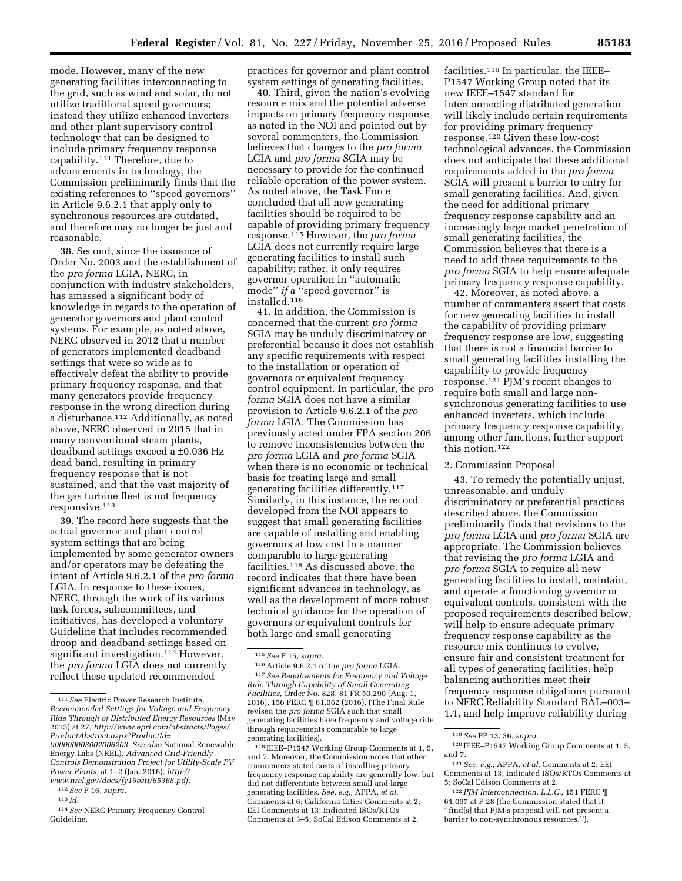mode. However, many of the new generating facilities interconnecting to the grid, such as wind and solar, do not utilize traditional speed governors; instead they utilize enhanced inverters and other plant supervisory control technology that can be designed to include primary frequency response capability.111 Therefore, due to advancements in technology, the Commission preliminarily finds that the existing references to ''speed governors'' in Article 9.6.2.1 that apply only to synchronous resources are outdated, and therefore may no longer be just and reasonable.

38. Second, since the issuance of Order No. 2003 and the establishment of the *pro forma* LGIA, NERC, in conjunction with industry stakeholders, has amassed a significant body of knowledge in regards to the operation of generator governors and plant control systems. For example, as noted above, NERC observed in 2012 that a number of generators implemented deadband settings that were so wide as to effectively defeat the ability to provide primary frequency response, and that many generators provide frequency response in the wrong direction during a disturbance.<sup>112</sup> Additionally, as noted above, NERC observed in 2015 that in many conventional steam plants, deadband settings exceed a ±0.036 Hz dead band, resulting in primary frequency response that is not sustained, and that the vast majority of the gas turbine fleet is not frequency responsive.113

39. The record here suggests that the actual governor and plant control system settings that are being implemented by some generator owners and/or operators may be defeating the intent of Article 9.6.2.1 of the *pro forma*  LGIA. In response to these issues, NERC, through the work of its various task forces, subcommittees, and initiatives, has developed a voluntary Guideline that includes recommended droop and deadband settings based on significant investigation.<sup>114</sup> However, the *pro forma* LGIA does not currently reflect these updated recommended

112*See* P 16, *supra.* 

113 *Id.* 

114*See* NERC Primary Frequency Control Guideline.

practices for governor and plant control system settings of generating facilities.

40. Third, given the nation's evolving resource mix and the potential adverse impacts on primary frequency response as noted in the NOI and pointed out by several commenters, the Commission believes that changes to the *pro forma*  LGIA and *pro forma* SGIA may be necessary to provide for the continued reliable operation of the power system. As noted above, the Task Force concluded that all new generating facilities should be required to be capable of providing primary frequency response.115 However, the *pro forma*  LGIA does not currently require large generating facilities to install such capability; rather, it only requires governor operation in ''automatic mode'' *if* a ''speed governor'' is installed.116

41. In addition, the Commission is concerned that the current *pro forma*  SGIA may be unduly discriminatory or preferential because it does not establish any specific requirements with respect to the installation or operation of governors or equivalent frequency control equipment. In particular, the *pro forma* SGIA does not have a similar provision to Article 9.6.2.1 of the *pro forma* LGIA. The Commission has previously acted under FPA section 206 to remove inconsistencies between the *pro forma* LGIA and *pro forma* SGIA when there is no economic or technical basis for treating large and small generating facilities differently.117 Similarly, in this instance, the record developed from the NOI appears to suggest that small generating facilities are capable of installing and enabling governors at low cost in a manner comparable to large generating facilities.118 As discussed above, the record indicates that there have been significant advances in technology, as well as the development of more robust technical guidance for the operation of governors or equivalent controls for both large and small generating

118 IEEE–P1547 Working Group Comments at 1, 5, and 7. Moreover, the Commission notes that other commenters stated costs of installing primary frequency response capability are generally low, but did not differentiate between small and large generating facilities. *See, e.g.,* APPA, *et al.*  Comments at 6; California Cities Comments at 2; EEI Comments at 13; Indicated ISOs/RTOs Comments at 3–5; SoCal Edison Comments at 2.

facilities.119 In particular, the IEEE– P1547 Working Group noted that its new IEEE–1547 standard for interconnecting distributed generation will likely include certain requirements for providing primary frequency response.120 Given these low-cost technological advances, the Commission does not anticipate that these additional requirements added in the *pro forma*  SGIA will present a barrier to entry for small generating facilities. And, given the need for additional primary frequency response capability and an increasingly large market penetration of small generating facilities, the Commission believes that there is a need to add these requirements to the *pro forma* SGIA to help ensure adequate primary frequency response capability.

42. Moreover, as noted above, a number of commenters assert that costs for new generating facilities to install the capability of providing primary frequency response are low, suggesting that there is not a financial barrier to small generating facilities installing the capability to provide frequency response.121 PJM's recent changes to require both small and large nonsynchronous generating facilities to use enhanced inverters, which include primary frequency response capability, among other functions, further support this notion.122

### 2. Commission Proposal

43. To remedy the potentially unjust, unreasonable, and unduly discriminatory or preferential practices described above, the Commission preliminarily finds that revisions to the *pro forma* LGIA and *pro forma* SGIA are appropriate. The Commission believes that revising the *pro forma* LGIA and *pro forma* SGIA to require all new generating facilities to install, maintain, and operate a functioning governor or equivalent controls, consistent with the proposed requirements described below, will help to ensure adequate primary frequency response capability as the resource mix continues to evolve, ensure fair and consistent treatment for all types of generating facilities, help balancing authorities meet their frequency response obligations pursuant to NERC Reliability Standard BAL–003– 1.1, and help improve reliability during

<sup>111</sup>*See* Electric Power Research Institute, *Recommended Settings for Voltage and Frequency Ride Through of Distributed Energy Resources* (May 2015) at 27, *[http://www.epri.com/abstracts/Pages/](http://www.epri.com/abstracts/Pages/ProductAbstract.aspx?ProductId=000000003002006203) [ProductAbstract.aspx?ProductId=](http://www.epri.com/abstracts/Pages/ProductAbstract.aspx?ProductId=000000003002006203)*

*[<sup>000000003002006203.</sup>](http://www.epri.com/abstracts/Pages/ProductAbstract.aspx?ProductId=000000003002006203) See also* National Renewable Energy Labs (NREL), *Advanced Grid-Friendly Controls Demonstration Project for Utility-Scale PV Power Plants,* at 1–2 (Jan. 2016), *[http://](http://www.nrel.gov/docs/fy16osti/65368.pdf) [www.nrel.gov/docs/fy16osti/65368.pdf.](http://www.nrel.gov/docs/fy16osti/65368.pdf)* 

<sup>115</sup>*See* P 15, *supra.* 

<sup>116</sup>Article 9.6.2.1 of the *pro forma* LGIA. 117*See Requirements for Frequency and Voltage Ride Through Capability of Small Generating Facilities,* Order No. 828, 81 FR 50,290 (Aug. 1, 2016), 156 FERC ¶ 61,062 (2016), (The Final Rule revised the *pro forma* SGIA such that small generating facilities have frequency and voltage ride through requirements comparable to large generating facilities).

<sup>119</sup>*See* PP 13, 36, *supra.* 

<sup>120</sup> IEEE–P1547 Working Group Comments at 1, 5, and 7.

<sup>121</sup>*See, e.g.,* APPA, *et al.* Comments at 2; EEI Comments at 13; Indicated ISOs/RTOs Comments at 5; SoCal Edison Comments at 2.

<sup>122</sup>*PJM Interconnection, L.L.C.,* 151 FERC ¶ 61,097 at P 28 (the Commission stated that it ''find[s] that PJM's proposal will not present a barrier to non-synchronous resources.'').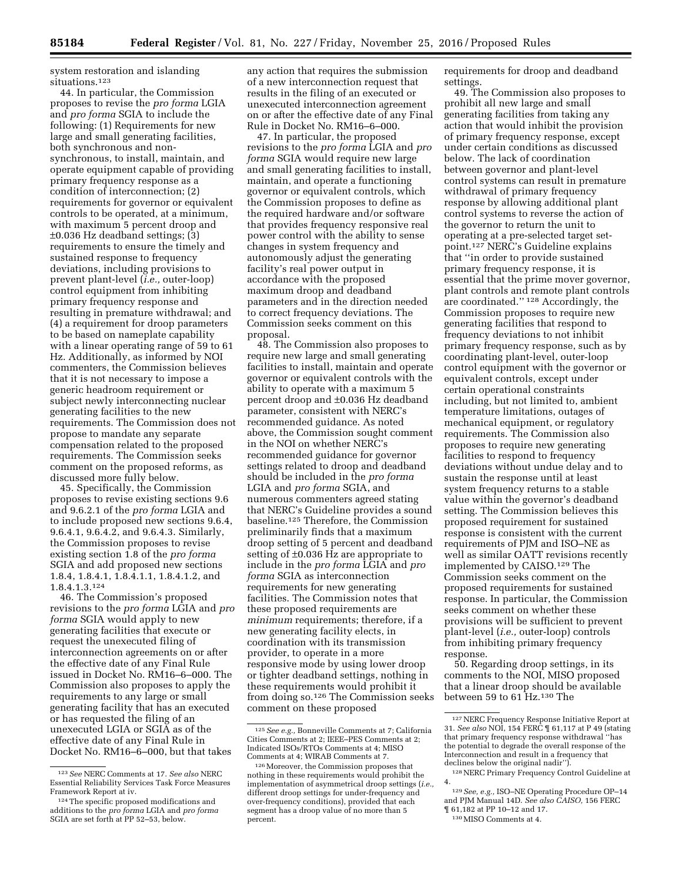system restoration and islanding situations.123

44. In particular, the Commission proposes to revise the *pro forma* LGIA and *pro forma* SGIA to include the following: (1) Requirements for new large and small generating facilities, both synchronous and nonsynchronous, to install, maintain, and operate equipment capable of providing primary frequency response as a condition of interconnection; (2) requirements for governor or equivalent controls to be operated, at a minimum, with maximum 5 percent droop and ±0.036 Hz deadband settings; (3) requirements to ensure the timely and sustained response to frequency deviations, including provisions to prevent plant-level (*i.e.,* outer-loop) control equipment from inhibiting primary frequency response and resulting in premature withdrawal; and (4) a requirement for droop parameters to be based on nameplate capability with a linear operating range of 59 to 61 Hz. Additionally, as informed by NOI commenters, the Commission believes that it is not necessary to impose a generic headroom requirement or subject newly interconnecting nuclear generating facilities to the new requirements. The Commission does not propose to mandate any separate compensation related to the proposed requirements. The Commission seeks comment on the proposed reforms, as discussed more fully below.

45. Specifically, the Commission proposes to revise existing sections 9.6 and 9.6.2.1 of the *pro forma* LGIA and to include proposed new sections 9.6.4, 9.6.4.1, 9.6.4.2, and 9.6.4.3. Similarly, the Commission proposes to revise existing section 1.8 of the *pro forma*  SGIA and add proposed new sections 1.8.4, 1.8.4.1, 1.8.4.1.1, 1.8.4.1.2, and 1.8.4.1.3.124

46. The Commission's proposed revisions to the *pro forma* LGIA and *pro forma* SGIA would apply to new generating facilities that execute or request the unexecuted filing of interconnection agreements on or after the effective date of any Final Rule issued in Docket No. RM16–6–000. The Commission also proposes to apply the requirements to any large or small generating facility that has an executed or has requested the filing of an unexecuted LGIA or SGIA as of the effective date of any Final Rule in Docket No. RM16–6–000, but that takes

any action that requires the submission of a new interconnection request that results in the filing of an executed or unexecuted interconnection agreement on or after the effective date of any Final Rule in Docket No. RM16–6–000.

47. In particular, the proposed revisions to the *pro forma* LGIA and *pro forma* SGIA would require new large and small generating facilities to install, maintain, and operate a functioning governor or equivalent controls, which the Commission proposes to define as the required hardware and/or software that provides frequency responsive real power control with the ability to sense changes in system frequency and autonomously adjust the generating facility's real power output in accordance with the proposed maximum droop and deadband parameters and in the direction needed to correct frequency deviations. The Commission seeks comment on this proposal.

48. The Commission also proposes to require new large and small generating facilities to install, maintain and operate governor or equivalent controls with the ability to operate with a maximum 5 percent droop and ±0.036 Hz deadband parameter, consistent with NERC's recommended guidance. As noted above, the Commission sought comment in the NOI on whether NERC's recommended guidance for governor settings related to droop and deadband should be included in the *pro forma*  LGIA and *pro forma* SGIA, and numerous commenters agreed stating that NERC's Guideline provides a sound baseline.125 Therefore, the Commission preliminarily finds that a maximum droop setting of 5 percent and deadband setting of ±0.036 Hz are appropriate to include in the *pro forma* LGIA and *pro forma* SGIA as interconnection requirements for new generating facilities. The Commission notes that these proposed requirements are *minimum* requirements; therefore, if a new generating facility elects, in coordination with its transmission provider, to operate in a more responsive mode by using lower droop or tighter deadband settings, nothing in these requirements would prohibit it from doing so.126 The Commission seeks comment on these proposed

requirements for droop and deadband settings.

49. The Commission also proposes to prohibit all new large and small generating facilities from taking any action that would inhibit the provision of primary frequency response, except under certain conditions as discussed below. The lack of coordination between governor and plant-level control systems can result in premature withdrawal of primary frequency response by allowing additional plant control systems to reverse the action of the governor to return the unit to operating at a pre-selected target setpoint.127 NERC's Guideline explains that ''in order to provide sustained primary frequency response, it is essential that the prime mover governor, plant controls and remote plant controls are coordinated.'' 128 Accordingly, the Commission proposes to require new generating facilities that respond to frequency deviations to not inhibit primary frequency response, such as by coordinating plant-level, outer-loop control equipment with the governor or equivalent controls, except under certain operational constraints including, but not limited to, ambient temperature limitations, outages of mechanical equipment, or regulatory requirements. The Commission also proposes to require new generating facilities to respond to frequency deviations without undue delay and to sustain the response until at least system frequency returns to a stable value within the governor's deadband setting. The Commission believes this proposed requirement for sustained response is consistent with the current requirements of PJM and ISO–NE as well as similar OATT revisions recently implemented by CAISO.129 The Commission seeks comment on the proposed requirements for sustained response. In particular, the Commission seeks comment on whether these provisions will be sufficient to prevent plant-level (*i.e.,* outer-loop) controls from inhibiting primary frequency response.

50. Regarding droop settings, in its comments to the NOI, MISO proposed that a linear droop should be available between 59 to 61 Hz.130 The

<sup>123</sup>*See* NERC Comments at 17. *See also* NERC Essential Reliability Services Task Force Measures Framework Report at iv.

<sup>124</sup>The specific proposed modifications and additions to the *pro forma* LGIA and *pro forma*  SGIA are set forth at PP 52–53, below.

<sup>125</sup>*See e.g.,* Bonneville Comments at 7; California Cities Comments at 2; IEEE–PES Comments at 2; Indicated ISOs/RTOs Comments at 4; MISO Comments at 4; WIRAB Comments at 7.

<sup>126</sup>Moreover, the Commission proposes that nothing in these requirements would prohibit the implementation of asymmetrical droop settings (*i.e.,*  different droop settings for under-frequency and over-frequency conditions), provided that each segment has a droop value of no more than 5 percent.

<sup>127</sup>NERC Frequency Response Initiative Report at 31. *See also* NOI, 154 FERC ¶ 61,117 at P 49 (stating that primary frequency response withdrawal ''has the potential to degrade the overall response of the Interconnection and result in a frequency that declines below the original nadir'').

<sup>128</sup>NERC Primary Frequency Control Guideline at 4.

<sup>129</sup>*See, e.g.,* ISO–NE Operating Procedure OP–14 and PJM Manual 14D. *See also CAISO,* 156 FERC ¶ 61,182 at PP 10–12 and 17.

<sup>130</sup>MISO Comments at 4.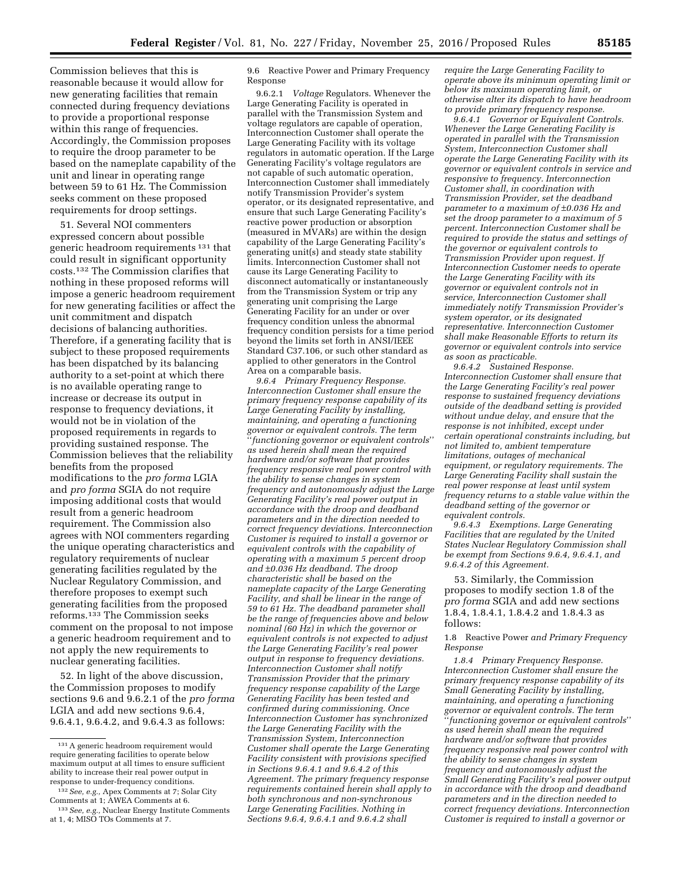Commission believes that this is reasonable because it would allow for new generating facilities that remain connected during frequency deviations to provide a proportional response within this range of frequencies. Accordingly, the Commission proposes to require the droop parameter to be based on the nameplate capability of the unit and linear in operating range between 59 to 61 Hz. The Commission seeks comment on these proposed requirements for droop settings.

51. Several NOI commenters expressed concern about possible generic headroom requirements 131 that could result in significant opportunity costs.132 The Commission clarifies that nothing in these proposed reforms will impose a generic headroom requirement for new generating facilities or affect the unit commitment and dispatch decisions of balancing authorities. Therefore, if a generating facility that is subject to these proposed requirements has been dispatched by its balancing authority to a set-point at which there is no available operating range to increase or decrease its output in response to frequency deviations, it would not be in violation of the proposed requirements in regards to providing sustained response. The Commission believes that the reliability benefits from the proposed modifications to the *pro forma* LGIA and *pro forma* SGIA do not require imposing additional costs that would result from a generic headroom requirement. The Commission also agrees with NOI commenters regarding the unique operating characteristics and regulatory requirements of nuclear generating facilities regulated by the Nuclear Regulatory Commission, and therefore proposes to exempt such generating facilities from the proposed reforms.133 The Commission seeks comment on the proposal to not impose a generic headroom requirement and to not apply the new requirements to nuclear generating facilities.

52. In light of the above discussion, the Commission proposes to modify sections 9.6 and 9.6.2.1 of the *pro forma*  LGIA and add new sections 9.6.4, 9.6.4.1, 9.6.4.2, and 9.6.4.3 as follows:

9.6 Reactive Power and Primary Frequency Response

9.6.2.1 *Voltage* Regulators. Whenever the Large Generating Facility is operated in parallel with the Transmission System and voltage regulators are capable of operation, Interconnection Customer shall operate the Large Generating Facility with its voltage regulators in automatic operation. If the Large Generating Facility's voltage regulators are not capable of such automatic operation, Interconnection Customer shall immediately notify Transmission Provider's system operator, or its designated representative, and ensure that such Large Generating Facility's reactive power production or absorption (measured in MVARs) are within the design capability of the Large Generating Facility's generating unit(s) and steady state stability limits. Interconnection Customer shall not cause its Large Generating Facility to disconnect automatically or instantaneously from the Transmission System or trip any generating unit comprising the Large Generating Facility for an under or over frequency condition unless the abnormal frequency condition persists for a time period beyond the limits set forth in ANSI/IEEE Standard C37.106, or such other standard as applied to other generators in the Control Area on a comparable basis.

*9.6.4 Primary Frequency Response. Interconnection Customer shall ensure the primary frequency response capability of its Large Generating Facility by installing, maintaining, and operating a functioning governor or equivalent controls. The term*  ''*functioning governor or equivalent controls*'' *as used herein shall mean the required hardware and/or software that provides frequency responsive real power control with the ability to sense changes in system frequency and autonomously adjust the Large Generating Facility's real power output in accordance with the droop and deadband parameters and in the direction needed to correct frequency deviations. Interconnection Customer is required to install a governor or equivalent controls with the capability of operating with a maximum 5 percent droop and* ±*0.036 Hz deadband. The droop characteristic shall be based on the nameplate capacity of the Large Generating Facility, and shall be linear in the range of 59 to 61 Hz. The deadband parameter shall be the range of frequencies above and below nominal (60 Hz) in which the governor or equivalent controls is not expected to adjust the Large Generating Facility's real power output in response to frequency deviations. Interconnection Customer shall notify Transmission Provider that the primary frequency response capability of the Large Generating Facility has been tested and confirmed during commissioning. Once Interconnection Customer has synchronized the Large Generating Facility with the Transmission System, Interconnection Customer shall operate the Large Generating Facility consistent with provisions specified in Sections 9.6.4.1 and 9.6.4.2 of this Agreement. The primary frequency response requirements contained herein shall apply to both synchronous and non-synchronous Large Generating Facilities. Nothing in Sections 9.6.4, 9.6.4.1 and 9.6.4.2 shall* 

*require the Large Generating Facility to operate above its minimum operating limit or below its maximum operating limit, or otherwise alter its dispatch to have headroom to provide primary frequency response.* 

*9.6.4.1 Governor or Equivalent Controls. Whenever the Large Generating Facility is operated in parallel with the Transmission System, Interconnection Customer shall operate the Large Generating Facility with its governor or equivalent controls in service and responsive to frequency. Interconnection Customer shall, in coordination with Transmission Provider, set the deadband parameter to a maximum of* ±*0.036 Hz and set the droop parameter to a maximum of 5 percent. Interconnection Customer shall be required to provide the status and settings of the governor or equivalent controls to Transmission Provider upon request. If Interconnection Customer needs to operate the Large Generating Facility with its governor or equivalent controls not in service, Interconnection Customer shall immediately notify Transmission Provider's system operator, or its designated representative. Interconnection Customer shall make Reasonable Efforts to return its governor or equivalent controls into service as soon as practicable.* 

*9.6.4.2 Sustained Response. Interconnection Customer shall ensure that the Large Generating Facility's real power response to sustained frequency deviations outside of the deadband setting is provided without undue delay, and ensure that the response is not inhibited, except under certain operational constraints including, but not limited to, ambient temperature limitations, outages of mechanical equipment, or regulatory requirements. The Large Generating Facility shall sustain the real power response at least until system frequency returns to a stable value within the deadband setting of the governor or equivalent controls.* 

*9.6.4.3 Exemptions. Large Generating Facilities that are regulated by the United States Nuclear Regulatory Commission shall be exempt from Sections 9.6.4, 9.6.4.1, and 9.6.4.2 of this Agreement.* 

53. Similarly, the Commission proposes to modify section 1.8 of the *pro forma* SGIA and add new sections 1.8.4, 1.8.4.1, 1.8.4.2 and 1.8.4.3 as follows:

1.8 Reactive Power *and Primary Frequency Response* 

*1.8.4 Primary Frequency Response. Interconnection Customer shall ensure the primary frequency response capability of its Small Generating Facility by installing, maintaining, and operating a functioning governor or equivalent controls. The term*  ''*functioning governor or equivalent controls*'' *as used herein shall mean the required hardware and/or software that provides frequency responsive real power control with the ability to sense changes in system frequency and autonomously adjust the Small Generating Facility's real power output in accordance with the droop and deadband parameters and in the direction needed to correct frequency deviations. Interconnection Customer is required to install a governor or* 

<sup>131</sup>A generic headroom requirement would require generating facilities to operate below maximum output at all times to ensure sufficient ability to increase their real power output in response to under-frequency conditions.

<sup>132</sup>*See, e.g.,* Apex Comments at 7; Solar City Comments at 1; AWEA Comments at 6.

<sup>133</sup>*See, e.g.,* Nuclear Energy Institute Comments at 1, 4; MISO TOs Comments at 7.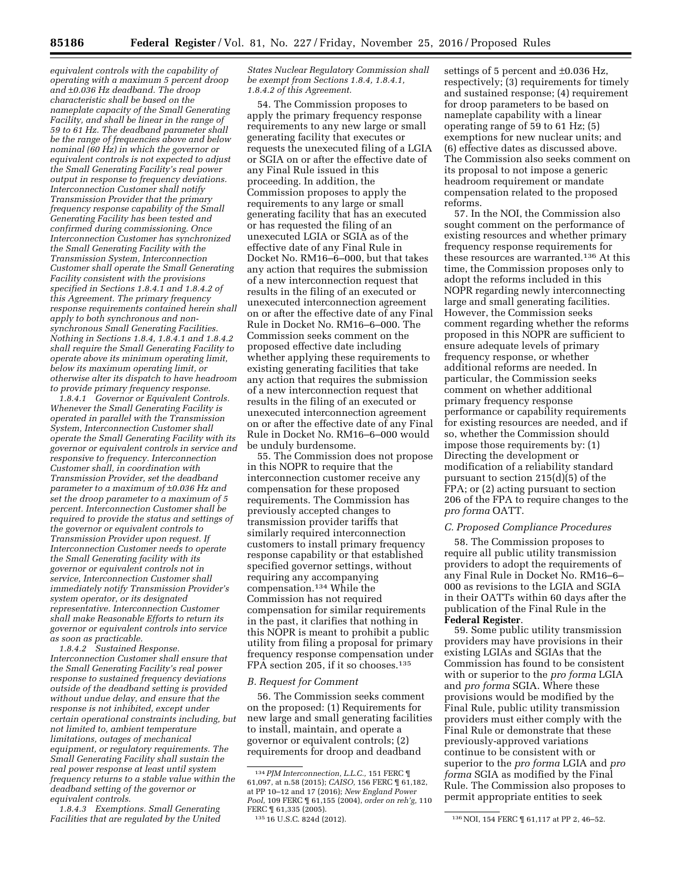*equivalent controls with the capability of operating with a maximum 5 percent droop and* ±*0.036 Hz deadband. The droop characteristic shall be based on the nameplate capacity of the Small Generating Facility, and shall be linear in the range of 59 to 61 Hz. The deadband parameter shall be the range of frequencies above and below nominal (60 Hz) in which the governor or equivalent controls is not expected to adjust the Small Generating Facility's real power output in response to frequency deviations. Interconnection Customer shall notify Transmission Provider that the primary frequency response capability of the Small Generating Facility has been tested and confirmed during commissioning. Once Interconnection Customer has synchronized the Small Generating Facility with the Transmission System, Interconnection Customer shall operate the Small Generating Facility consistent with the provisions specified in Sections 1.8.4.1 and 1.8.4.2 of this Agreement. The primary frequency response requirements contained herein shall apply to both synchronous and nonsynchronous Small Generating Facilities. Nothing in Sections 1.8.4, 1.8.4.1 and 1.8.4.2 shall require the Small Generating Facility to operate above its minimum operating limit, below its maximum operating limit, or otherwise alter its dispatch to have headroom to provide primary frequency response.* 

*1.8.4.1 Governor or Equivalent Controls. Whenever the Small Generating Facility is operated in parallel with the Transmission System, Interconnection Customer shall operate the Small Generating Facility with its governor or equivalent controls in service and responsive to frequency. Interconnection Customer shall, in coordination with Transmission Provider, set the deadband parameter to a maximum of* ±*0.036 Hz and set the droop parameter to a maximum of 5 percent. Interconnection Customer shall be required to provide the status and settings of the governor or equivalent controls to Transmission Provider upon request. If Interconnection Customer needs to operate the Small Generating facility with its governor or equivalent controls not in service, Interconnection Customer shall immediately notify Transmission Provider's system operator, or its designated representative. Interconnection Customer shall make Reasonable Efforts to return its governor or equivalent controls into service as soon as practicable.* 

*1.8.4.2 Sustained Response. Interconnection Customer shall ensure that the Small Generating Facility's real power response to sustained frequency deviations outside of the deadband setting is provided without undue delay, and ensure that the response is not inhibited, except under certain operational constraints including, but not limited to, ambient temperature limitations, outages of mechanical equipment, or regulatory requirements. The Small Generating Facility shall sustain the real power response at least until system frequency returns to a stable value within the deadband setting of the governor or equivalent controls.* 

*1.8.4.3 Exemptions. Small Generating Facilities that are regulated by the United*  *States Nuclear Regulatory Commission shall be exempt from Sections 1.8.4, 1.8.4.1, 1.8.4.2 of this Agreement.* 

54. The Commission proposes to apply the primary frequency response requirements to any new large or small generating facility that executes or requests the unexecuted filing of a LGIA or SGIA on or after the effective date of any Final Rule issued in this proceeding. In addition, the Commission proposes to apply the requirements to any large or small generating facility that has an executed or has requested the filing of an unexecuted LGIA or SGIA as of the effective date of any Final Rule in Docket No. RM16–6–000, but that takes any action that requires the submission of a new interconnection request that results in the filing of an executed or unexecuted interconnection agreement on or after the effective date of any Final Rule in Docket No. RM16–6–000. The Commission seeks comment on the proposed effective date including whether applying these requirements to existing generating facilities that take any action that requires the submission of a new interconnection request that results in the filing of an executed or unexecuted interconnection agreement on or after the effective date of any Final Rule in Docket No. RM16–6–000 would be unduly burdensome.

55. The Commission does not propose in this NOPR to require that the interconnection customer receive any compensation for these proposed requirements. The Commission has previously accepted changes to transmission provider tariffs that similarly required interconnection customers to install primary frequency response capability or that established specified governor settings, without requiring any accompanying compensation.134 While the Commission has not required compensation for similar requirements in the past, it clarifies that nothing in this NOPR is meant to prohibit a public utility from filing a proposal for primary frequency response compensation under FPA section 205, if it so chooses.<sup>135</sup>

### *B. Request for Comment*

56. The Commission seeks comment on the proposed: (1) Requirements for new large and small generating facilities to install, maintain, and operate a governor or equivalent controls; (2) requirements for droop and deadband

settings of 5 percent and ±0.036 Hz, respectively; (3) requirements for timely and sustained response; (4) requirement for droop parameters to be based on nameplate capability with a linear operating range of 59 to 61 Hz; (5) exemptions for new nuclear units; and (6) effective dates as discussed above. The Commission also seeks comment on its proposal to not impose a generic headroom requirement or mandate compensation related to the proposed reforms.

57. In the NOI, the Commission also sought comment on the performance of existing resources and whether primary frequency response requirements for these resources are warranted.136 At this time, the Commission proposes only to adopt the reforms included in this NOPR regarding newly interconnecting large and small generating facilities. However, the Commission seeks comment regarding whether the reforms proposed in this NOPR are sufficient to ensure adequate levels of primary frequency response, or whether additional reforms are needed. In particular, the Commission seeks comment on whether additional primary frequency response performance or capability requirements for existing resources are needed, and if so, whether the Commission should impose those requirements by: (1) Directing the development or modification of a reliability standard pursuant to section 215(d)(5) of the FPA; or (2) acting pursuant to section 206 of the FPA to require changes to the *pro forma* OATT.

#### *C. Proposed Compliance Procedures*

58. The Commission proposes to require all public utility transmission providers to adopt the requirements of any Final Rule in Docket No. RM16–6– 000 as revisions to the LGIA and SGIA in their OATTs within 60 days after the publication of the Final Rule in the **Federal Register**.

59. Some public utility transmission providers may have provisions in their existing LGIAs and SGIAs that the Commission has found to be consistent with or superior to the *pro forma* LGIA and *pro forma* SGIA. Where these provisions would be modified by the Final Rule, public utility transmission providers must either comply with the Final Rule or demonstrate that these previously-approved variations continue to be consistent with or superior to the *pro forma* LGIA and *pro forma* SGIA as modified by the Final Rule. The Commission also proposes to permit appropriate entities to seek

<sup>134</sup>*PJM Interconnection, L.L.C.,* 151 FERC ¶ 61,097, at n.58 (2015); *CAISO,* 156 FERC ¶ 61,182, at PP 10–12 and 17 (2016); *New England Power Pool,* 109 FERC ¶ 61,155 (2004), *order on reh'g,* 110 FERC ¶ 61,335 (2005).

<sup>135</sup> 16 U.S.C. 824d (2012). 136NOI, 154 FERC ¶ 61,117 at PP 2, 46–52.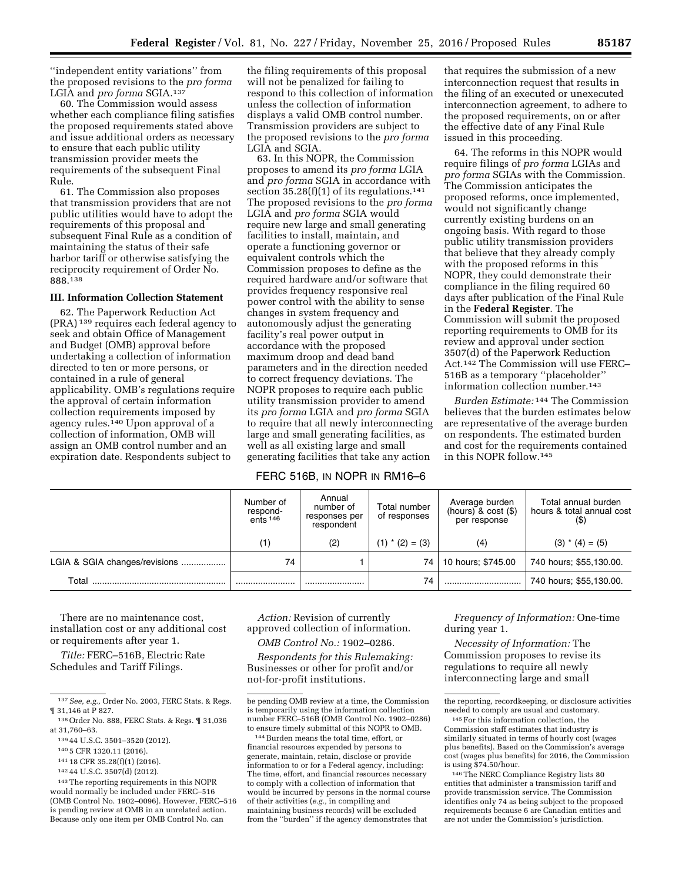''independent entity variations'' from the proposed revisions to the *pro forma*  LGIA and *pro forma* SGIA.137

60. The Commission would assess whether each compliance filing satisfies the proposed requirements stated above and issue additional orders as necessary to ensure that each public utility transmission provider meets the requirements of the subsequent Final Rule.

61. The Commission also proposes that transmission providers that are not public utilities would have to adopt the requirements of this proposal and subsequent Final Rule as a condition of maintaining the status of their safe harbor tariff or otherwise satisfying the reciprocity requirement of Order No. 888.138

# **III. Information Collection Statement**

62. The Paperwork Reduction Act (PRA) 139 requires each federal agency to seek and obtain Office of Management and Budget (OMB) approval before undertaking a collection of information directed to ten or more persons, or contained in a rule of general applicability. OMB's regulations require the approval of certain information collection requirements imposed by agency rules.140 Upon approval of a collection of information, OMB will assign an OMB control number and an expiration date. Respondents subject to

the filing requirements of this proposal will not be penalized for failing to respond to this collection of information unless the collection of information displays a valid OMB control number. Transmission providers are subject to the proposed revisions to the *pro forma*  LGIA and SGIA.

63. In this NOPR, the Commission proposes to amend its *pro forma* LGIA and *pro forma* SGIA in accordance with section  $35.28(f)(1)$  of its regulations.<sup>141</sup> The proposed revisions to the *pro forma*  LGIA and *pro forma* SGIA would require new large and small generating facilities to install, maintain, and operate a functioning governor or equivalent controls which the Commission proposes to define as the required hardware and/or software that provides frequency responsive real power control with the ability to sense changes in system frequency and autonomously adjust the generating facility's real power output in accordance with the proposed maximum droop and dead band parameters and in the direction needed to correct frequency deviations. The NOPR proposes to require each public utility transmission provider to amend its *pro forma* LGIA and *pro forma* SGIA to require that all newly interconnecting large and small generating facilities, as well as all existing large and small generating facilities that take any action

# FERC 516B, IN NOPR IN RM16-6

that requires the submission of a new interconnection request that results in the filing of an executed or unexecuted interconnection agreement, to adhere to the proposed requirements, on or after the effective date of any Final Rule issued in this proceeding.

64. The reforms in this NOPR would require filings of *pro forma* LGIAs and *pro forma* SGIAs with the Commission. The Commission anticipates the proposed reforms, once implemented, would not significantly change currently existing burdens on an ongoing basis. With regard to those public utility transmission providers that believe that they already comply with the proposed reforms in this NOPR, they could demonstrate their compliance in the filing required 60 days after publication of the Final Rule in the **Federal Register**. The Commission will submit the proposed reporting requirements to OMB for its review and approval under section 3507(d) of the Paperwork Reduction Act.142 The Commission will use FERC– 516B as a temporary ''placeholder'' information collection number.143

*Burden Estimate:* 144 The Commission believes that the burden estimates below are representative of the average burden on respondents. The estimated burden and cost for the requirements contained in this NOPR follow.145

|                               | Number of<br>respond-<br>ents <sup>146</sup> | Annual<br>number of<br>responses per<br>respondent | Total number<br>of responses | Average burden<br>$(hours)$ & cost $(\$)$<br>per response | Total annual burden<br>hours & total annual cost<br>$($ \$) |
|-------------------------------|----------------------------------------------|----------------------------------------------------|------------------------------|-----------------------------------------------------------|-------------------------------------------------------------|
|                               | (1)                                          | (2)                                                | $(1)$ * $(2) = (3)$          | (4)                                                       | $(3) * (4) = (5)$                                           |
| LGIA & SGIA changes/revisions | 74                                           |                                                    | 74                           | 10 hours; \$745.00                                        | 740 hours; \$55,130.00.                                     |
| Total                         |                                              |                                                    | 74                           |                                                           | 740 hours; \$55,130.00.                                     |

There are no maintenance cost, installation cost or any additional cost or requirements after year 1.

*Title:* FERC–516B, Electric Rate Schedules and Tariff Filings.

143The reporting requirements in this NOPR would normally be included under FERC–516 (OMB Control No. 1902–0096). However, FERC–516 is pending review at OMB in an unrelated action. Because only one item per OMB Control No. can

*Action:* Revision of currently approved collection of information.

*OMB Control No.:* 1902–0286.

*Respondents for this Rulemaking:*  Businesses or other for profit and/or not-for-profit institutions.

*Frequency of Information:* One-time during year 1.

*Necessity of Information:* The Commission proposes to revise its regulations to require all newly interconnecting large and small

<sup>137</sup>*See, e.g.,* Order No. 2003, FERC Stats. & Regs. ¶ 31,146 at P 827.

<sup>138</sup>Order No. 888, FERC Stats. & Regs. ¶ 31,036 at 31,760–63.

<sup>139</sup> 44 U.S.C. 3501–3520 (2012).

<sup>140</sup> 5 CFR 1320.11 (2016).

<sup>141</sup> 18 CFR 35.28(f)(1) (2016).

<sup>142</sup> 44 U.S.C. 3507(d) (2012).

be pending OMB review at a time, the Commission is temporarily using the information collection number FERC–516B (OMB Control No. 1902–0286) to ensure timely submittal of this NOPR to OMB.

<sup>144</sup>Burden means the total time, effort, or financial resources expended by persons to generate, maintain, retain, disclose or provide information to or for a Federal agency, including: The time, effort, and financial resources necessary to comply with a collection of information that would be incurred by persons in the normal course of their activities (*e.g.,* in compiling and maintaining business records) will be excluded from the ''burden'' if the agency demonstrates that

the reporting, recordkeeping, or disclosure activities needed to comply are usual and customary.

<sup>145</sup>For this information collection, the Commission staff estimates that industry is similarly situated in terms of hourly cost (wages plus benefits). Based on the Commission's average cost (wages plus benefits) for 2016, the Commission is using \$74.50/hour.

<sup>146</sup>The NERC Compliance Registry lists 80 entities that administer a transmission tariff and provide transmission service. The Commission identifies only 74 as being subject to the proposed requirements because 6 are Canadian entities and are not under the Commission's jurisdiction.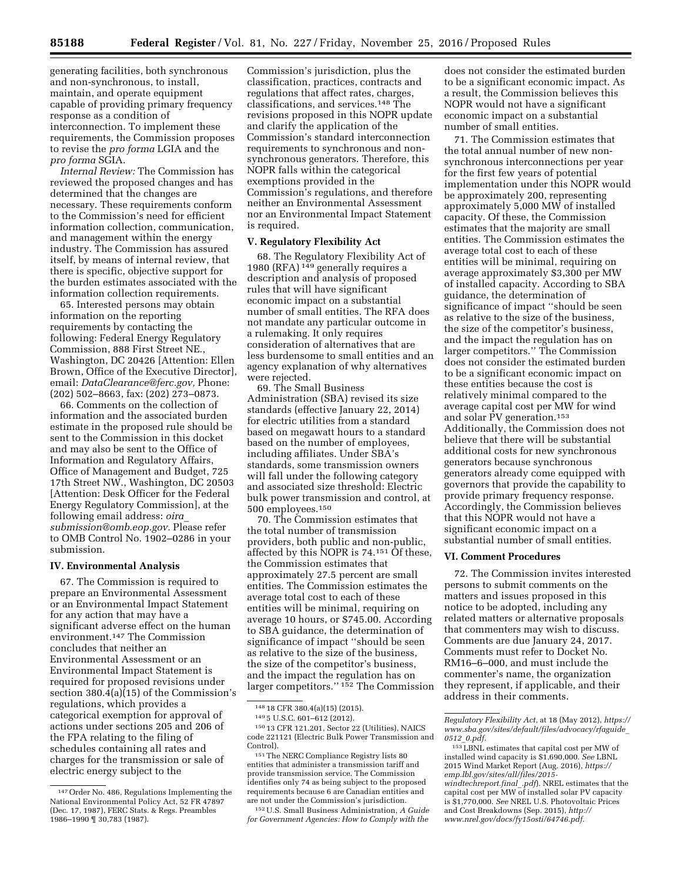generating facilities, both synchronous and non-synchronous, to install, maintain, and operate equipment capable of providing primary frequency response as a condition of interconnection. To implement these requirements, the Commission proposes to revise the *pro forma* LGIA and the *pro forma* SGIA.

*Internal Review:* The Commission has reviewed the proposed changes and has determined that the changes are necessary. These requirements conform to the Commission's need for efficient information collection, communication, and management within the energy industry. The Commission has assured itself, by means of internal review, that there is specific, objective support for the burden estimates associated with the information collection requirements.

65. Interested persons may obtain information on the reporting requirements by contacting the following: Federal Energy Regulatory Commission, 888 First Street NE., Washington, DC 20426 [Attention: Ellen Brown, Office of the Executive Director], email: *[DataClearance@ferc.gov,](mailto:DataClearance@ferc.gov)* Phone: (202) 502–8663, fax: (202) 273–0873.

66. Comments on the collection of information and the associated burden estimate in the proposed rule should be sent to the Commission in this docket and may also be sent to the Office of Information and Regulatory Affairs, Office of Management and Budget, 725 17th Street NW., Washington, DC 20503 [Attention: Desk Officer for the Federal Energy Regulatory Commission], at the following email address: *[oira](mailto:oira_submission@omb.eop.gov)*\_ *[submission@omb.eop.gov.](mailto:oira_submission@omb.eop.gov)* Please refer to OMB Control No. 1902–0286 in your submission.

#### **IV. Environmental Analysis**

67. The Commission is required to prepare an Environmental Assessment or an Environmental Impact Statement for any action that may have a significant adverse effect on the human environment.147 The Commission concludes that neither an Environmental Assessment or an Environmental Impact Statement is required for proposed revisions under section 380.4(a)(15) of the Commission's regulations, which provides a categorical exemption for approval of actions under sections 205 and 206 of the FPA relating to the filing of schedules containing all rates and charges for the transmission or sale of electric energy subject to the

Commission's jurisdiction, plus the classification, practices, contracts and regulations that affect rates, charges, classifications, and services.148 The revisions proposed in this NOPR update and clarify the application of the Commission's standard interconnection requirements to synchronous and nonsynchronous generators. Therefore, this NOPR falls within the categorical exemptions provided in the Commission's regulations, and therefore neither an Environmental Assessment nor an Environmental Impact Statement is required.

### **V. Regulatory Flexibility Act**

68. The Regulatory Flexibility Act of 1980 (RFA) 149 generally requires a description and analysis of proposed rules that will have significant economic impact on a substantial number of small entities. The RFA does not mandate any particular outcome in a rulemaking. It only requires consideration of alternatives that are less burdensome to small entities and an agency explanation of why alternatives were rejected.

69. The Small Business Administration (SBA) revised its size standards (effective January 22, 2014) for electric utilities from a standard based on megawatt hours to a standard based on the number of employees, including affiliates. Under SBA's standards, some transmission owners will fall under the following category and associated size threshold: Electric bulk power transmission and control, at 500 employees.150

70. The Commission estimates that the total number of transmission providers, both public and non-public, affected by this NOPR is 74.151 Of these, the Commission estimates that approximately 27.5 percent are small entities. The Commission estimates the average total cost to each of these entities will be minimal, requiring on average 10 hours, or \$745.00. According to SBA guidance, the determination of significance of impact ''should be seen as relative to the size of the business, the size of the competitor's business, and the impact the regulation has on larger competitors.'' 152 The Commission

does not consider the estimated burden to be a significant economic impact. As a result, the Commission believes this NOPR would not have a significant economic impact on a substantial number of small entities.

71. The Commission estimates that the total annual number of new nonsynchronous interconnections per year for the first few years of potential implementation under this NOPR would be approximately 200, representing approximately 5,000 MW of installed capacity. Of these, the Commission estimates that the majority are small entities. The Commission estimates the average total cost to each of these entities will be minimal, requiring on average approximately \$3,300 per MW of installed capacity. According to SBA guidance, the determination of significance of impact ''should be seen as relative to the size of the business, the size of the competitor's business, and the impact the regulation has on larger competitors.'' The Commission does not consider the estimated burden to be a significant economic impact on these entities because the cost is relatively minimal compared to the average capital cost per MW for wind and solar PV generation.153 Additionally, the Commission does not believe that there will be substantial additional costs for new synchronous generators because synchronous generators already come equipped with governors that provide the capability to provide primary frequency response. Accordingly, the Commission believes that this NOPR would not have a significant economic impact on a substantial number of small entities.

# **VI. Comment Procedures**

72. The Commission invites interested persons to submit comments on the matters and issues proposed in this notice to be adopted, including any related matters or alternative proposals that commenters may wish to discuss. Comments are due January 24, 2017. Comments must refer to Docket No. RM16–6–000, and must include the commenter's name, the organization they represent, if applicable, and their address in their comments.

<sup>147</sup>Order No. 486, Regulations Implementing the National Environmental Policy Act, 52 FR 47897 (Dec. 17, 1987), FERC Stats. & Regs. Preambles 1986–1990 ¶ 30,783 (1987).

<sup>148</sup> 18 CFR 380.4(a)(15) (2015).

<sup>149</sup> 5 U.S.C. 601–612 (2012).

<sup>150</sup> 13 CFR 121.201, Sector 22 (Utilities), NAICS code 221121 (Electric Bulk Power Transmission and Control).

<sup>151</sup>The NERC Compliance Registry lists 80 entities that administer a transmission tariff and provide transmission service. The Commission identifies only 74 as being subject to the proposed requirements because 6 are Canadian entities and are not under the Commission's jurisdiction.

<sup>152</sup>U.S. Small Business Administration, *A Guide for Government Agencies: How to Comply with the* 

*Regulatory Flexibility Act,* at 18 (May 2012), *[https://](https://www.sba.gov/sites/default/files/advocacy/rfaguide_0512_0.pdf) [www.sba.gov/sites/default/files/advocacy/rfaguide](https://www.sba.gov/sites/default/files/advocacy/rfaguide_0512_0.pdf)*\_ *0512*\_*[0.pdf.](https://www.sba.gov/sites/default/files/advocacy/rfaguide_0512_0.pdf)* 

<sup>153</sup>LBNL estimates that capital cost per MW of installed wind capacity is \$1,690,000. *See* LBNL 2015 Wind Market Report (Aug. 2016), *[https://](https://emp.lbl.gov/sites/all/files/2015-windtechreport.final_.pdf) [emp.lbl.gov/sites/all/files/2015](https://emp.lbl.gov/sites/all/files/2015-windtechreport.final_.pdf)  [windtechreport.final](https://emp.lbl.gov/sites/all/files/2015-windtechreport.final_.pdf)*\_*.pdf*). NREL estimates that the capital cost per MW of installed solar PV capacity is \$1,770,000. *See* NREL U.S. Photovoltaic Prices and Cost Breakdowns (Sep. 2015), *[http://](http://www.nrel.gov/docs/fy15osti/64746.pdf) [www.nrel.gov/docs/fy15osti/64746.pdf.](http://www.nrel.gov/docs/fy15osti/64746.pdf)*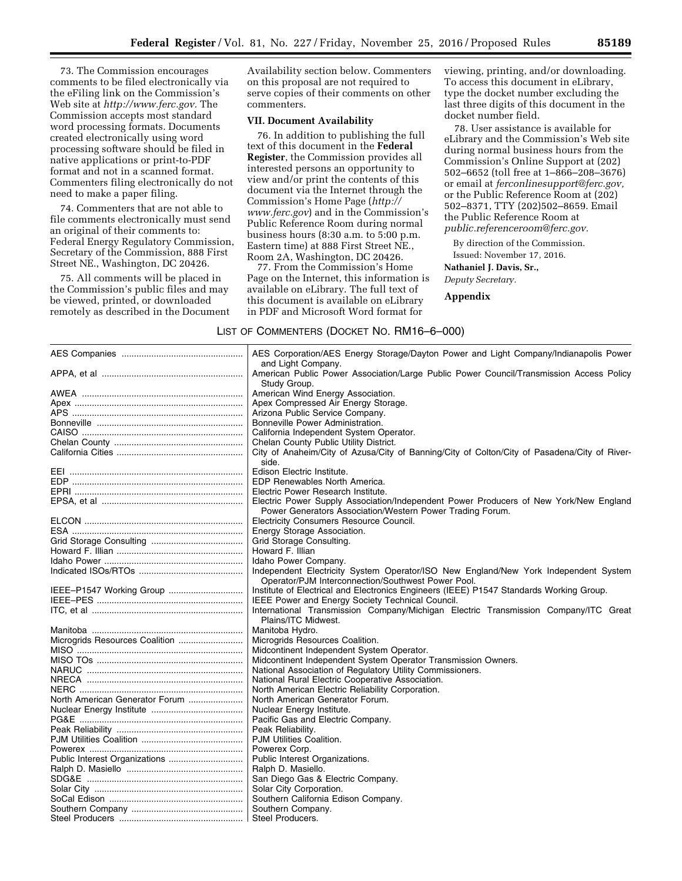73. The Commission encourages comments to be filed electronically via the eFiling link on the Commission's Web site at *[http://www.ferc.gov.](http://www.ferc.gov)* The Commission accepts most standard word processing formats. Documents created electronically using word processing software should be filed in native applications or print-to-PDF format and not in a scanned format. Commenters filing electronically do not need to make a paper filing.

74. Commenters that are not able to file comments electronically must send an original of their comments to: Federal Energy Regulatory Commission, Secretary of the Commission, 888 First Street NE., Washington, DC 20426.

75. All comments will be placed in the Commission's public files and may be viewed, printed, or downloaded remotely as described in the Document

Availability section below. Commenters on this proposal are not required to serve copies of their comments on other commenters.

# **VII. Document Availability**

76. In addition to publishing the full text of this document in the **Federal Register**, the Commission provides all interested persons an opportunity to view and/or print the contents of this document via the Internet through the Commission's Home Page (*[http://](http://www.ferc.gov) [www.ferc.gov](http://www.ferc.gov)*) and in the Commission's Public Reference Room during normal business hours (8:30 a.m. to 5:00 p.m. Eastern time) at 888 First Street NE., Room 2A, Washington, DC 20426.

77. From the Commission's Home Page on the Internet, this information is available on eLibrary. The full text of this document is available on eLibrary in PDF and Microsoft Word format for

viewing, printing, and/or downloading. To access this document in eLibrary, type the docket number excluding the last three digits of this document in the docket number field.

78. User assistance is available for eLibrary and the Commission's Web site during normal business hours from the Commission's Online Support at (202) 502–6652 (toll free at 1–866–208–3676) or email at *[ferconlinesupport@ferc.gov,](mailto:ferconlinesupport@ferc.gov)*  or the Public Reference Room at (202) 502–8371, TTY (202)502–8659. Email the Public Reference Room at *[public.referenceroom@ferc.gov.](mailto:public.referenceroom@ferc.gov)* 

By direction of the Commission.

Issued: November 17, 2016.

# **Nathaniel J. Davis, Sr.,**

*Deputy Secretary.* 

**Appendix** 

LIST OF COMMENTERS (DOCKET NO. RM16–6–000)

|                                | AES Corporation/AES Energy Storage/Dayton Power and Light Company/Indianapolis Power<br>and Light Company.                                |  |
|--------------------------------|-------------------------------------------------------------------------------------------------------------------------------------------|--|
|                                | American Public Power Association/Large Public Power Council/Transmission Access Policy                                                   |  |
|                                | Study Group.                                                                                                                              |  |
| AWEA ………………………………………………………     | American Wind Energy Association.                                                                                                         |  |
|                                | Apex Compressed Air Energy Storage.                                                                                                       |  |
|                                | Arizona Public Service Company.                                                                                                           |  |
|                                | Bonneville Power Administration.                                                                                                          |  |
|                                | California Independent System Operator.                                                                                                   |  |
|                                | Chelan County Public Utility District.                                                                                                    |  |
|                                | City of Anaheim/City of Azusa/City of Banning/City of Colton/City of Pasadena/City of River-<br>side.                                     |  |
|                                | Edison Electric Institute.                                                                                                                |  |
|                                | EDP Renewables North America.                                                                                                             |  |
|                                | Electric Power Research Institute.                                                                                                        |  |
|                                | Electric Power Supply Association/Independent Power Producers of New York/New England                                                     |  |
|                                | Power Generators Association/Western Power Trading Forum.                                                                                 |  |
|                                | Electricity Consumers Resource Council.                                                                                                   |  |
|                                | Energy Storage Association.                                                                                                               |  |
|                                |                                                                                                                                           |  |
|                                | Grid Storage Consulting.                                                                                                                  |  |
|                                | Howard F. Illian                                                                                                                          |  |
|                                | Idaho Power Company.                                                                                                                      |  |
|                                | Independent Electricity System Operator/ISO New England/New York Independent System<br>Operator/PJM Interconnection/Southwest Power Pool. |  |
| IEEE-P1547 Working Group       | Institute of Electrical and Electronics Engineers (IEEE) P1547 Standards Working Group.                                                   |  |
|                                | IEEE Power and Energy Society Technical Council.                                                                                          |  |
|                                | International Transmission Company/Michigan Electric Transmission Company/ITC Great                                                       |  |
|                                | Plains/ITC Midwest.                                                                                                                       |  |
|                                | Manitoba Hydro.                                                                                                                           |  |
|                                | Microgrids Resources Coalition.                                                                                                           |  |
|                                | Midcontinent Independent System Operator.                                                                                                 |  |
|                                | Midcontinent Independent System Operator Transmission Owners.                                                                             |  |
|                                | National Association of Regulatory Utility Commissioners.                                                                                 |  |
|                                | National Rural Electric Cooperative Association.                                                                                          |  |
|                                | North American Electric Reliability Corporation.                                                                                          |  |
| North American Generator Forum | North American Generator Forum.                                                                                                           |  |
|                                | Nuclear Energy Institute.                                                                                                                 |  |
|                                | Pacific Gas and Electric Company.                                                                                                         |  |
|                                | Peak Reliability.                                                                                                                         |  |
|                                | PJM Utilities Coalition.                                                                                                                  |  |
|                                | Powerex Corp.                                                                                                                             |  |
|                                | Public Interest Organizations.                                                                                                            |  |
|                                | Ralph D. Masiello.                                                                                                                        |  |
|                                | San Diego Gas & Electric Company.                                                                                                         |  |
|                                | Solar City Corporation.                                                                                                                   |  |
|                                | Southern California Edison Company.                                                                                                       |  |
|                                | Southern Company.                                                                                                                         |  |
|                                |                                                                                                                                           |  |
|                                | Steel Producers.                                                                                                                          |  |